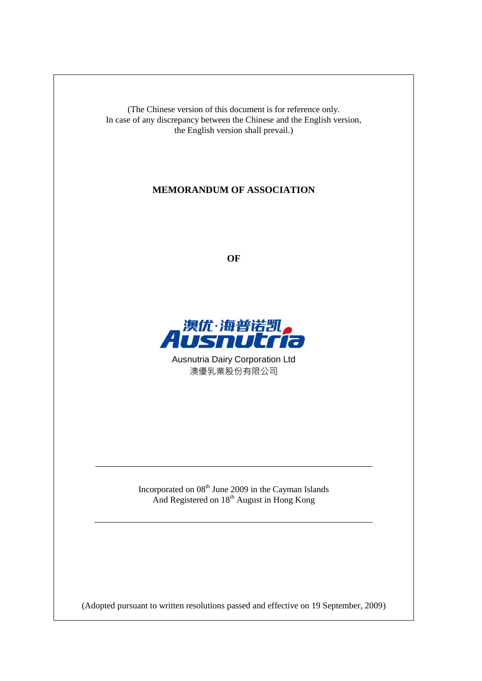(The Chinese version of this document is for reference only. In case of any discrepancy between the Chinese and the English version, the English version shall prevail.)

# **MEMORANDUM OF ASSOCIATION**

**OF**



Ausnutria Dairy Corporation Ltd 澳優乳業股份有限公司

Incorporated on  $08<sup>th</sup>$  June 2009 in the Cayman Islands And Registered on 18<sup>th</sup> August in Hong Kong

(Adopted pursuant to written resolutions passed and effective on 19 September, 2009)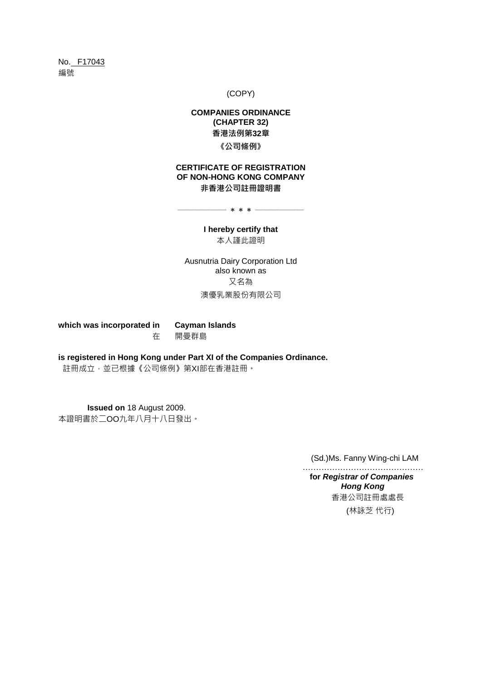No. F17043 編號

(COPY)

# **COMPANIES ORDINANCE (CHAPTER 32)** 香港法例第**32**章 《公司條例》

## **CERTIFICATE OF REGISTRATION OF NON-HONG KONG COMPANY** 非香港公司註冊證明書

────── \* \* \* ──────

#### **I hereby certify that** 本人謹此證明

Ausnutria Dairy Corporation Ltd also known as 又名為 澳優乳業股份有限公司

**which was incorporated in Cayman Islands** 在 開曼群島

**is registered in Hong Kong under Part XI of the Companies Ordinance.**

註冊成立,並已根據《公司條例》第XI部在香港註冊。

**Issued on** 18 August 2009. 本證明書於二OO九年八月十八日發出。

(Sd.)Ms. Fanny Wing-chi LAM

 ……………………………………… **for** *Registrar of Companies Hong Kong* 香港公司註冊處處長 (林詠芝 代行)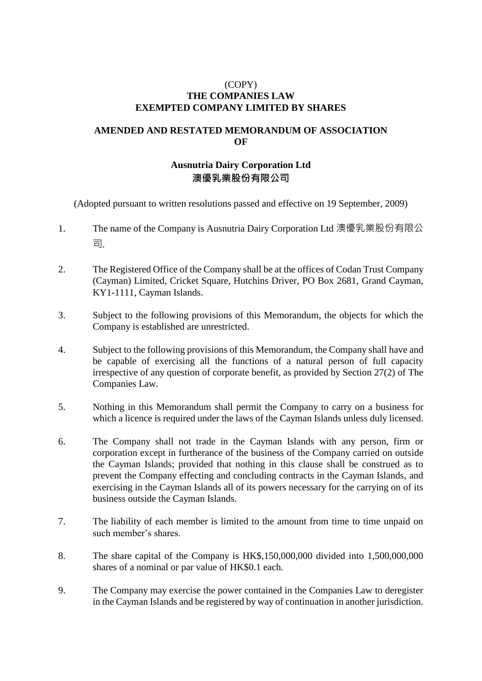## (COPY) **THE COMPANIES LAW EXEMPTED COMPANY LIMITED BY SHARES**

# **AMENDED AND RESTATED MEMORANDUM OF ASSOCIATION OF**

# **Ausnutria Dairy Corporation Ltd** 澳優乳業股份有限公司

(Adopted pursuant to written resolutions passed and effective on 19 September, 2009)

- 1. The name of the Company is Ausnutria Dairy Corporation Ltd 澳優乳業股份有限公 司.
- 2. The Registered Office of the Company shall be at the offices of Codan Trust Company (Cayman) Limited, Cricket Square, Hutchins Driver, PO Box 2681, Grand Cayman, KY1-1111, Cayman Islands.
- 3. Subject to the following provisions of this Memorandum, the objects for which the Company is established are unrestricted.
- 4. Subject to the following provisions of this Memorandum, the Company shall have and be capable of exercising all the functions of a natural person of full capacity irrespective of any question of corporate benefit, as provided by Section 27(2) of The Companies Law.
- 5. Nothing in this Memorandum shall permit the Company to carry on a business for which a licence is required under the laws of the Cayman Islands unless duly licensed.
- 6. The Company shall not trade in the Cayman Islands with any person, firm or corporation except in furtherance of the business of the Company carried on outside the Cayman Islands; provided that nothing in this clause shall be construed as to prevent the Company effecting and concluding contracts in the Cayman Islands, and exercising in the Cayman Islands all of its powers necessary for the carrying on of its business outside the Cayman Islands.
- 7. The liability of each member is limited to the amount from time to time unpaid on such member's shares.
- 8. The share capital of the Company is HK\$,150,000,000 divided into 1,500,000,000 shares of a nominal or par value of HK\$0.1 each.
- 9. The Company may exercise the power contained in the Companies Law to deregister in the Cayman Islands and be registered by way of continuation in another jurisdiction.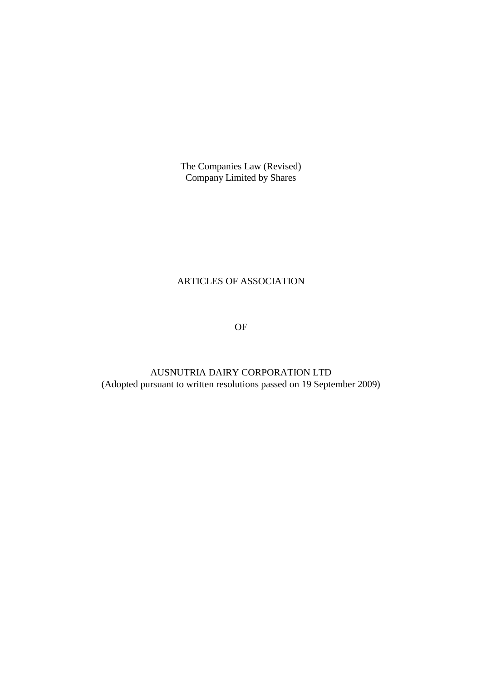The Companies Law (Revised) Company Limited by Shares

# ARTICLES OF ASSOCIATION

OF

AUSNUTRIA DAIRY CORPORATION LTD (Adopted pursuant to written resolutions passed on 19 September 2009)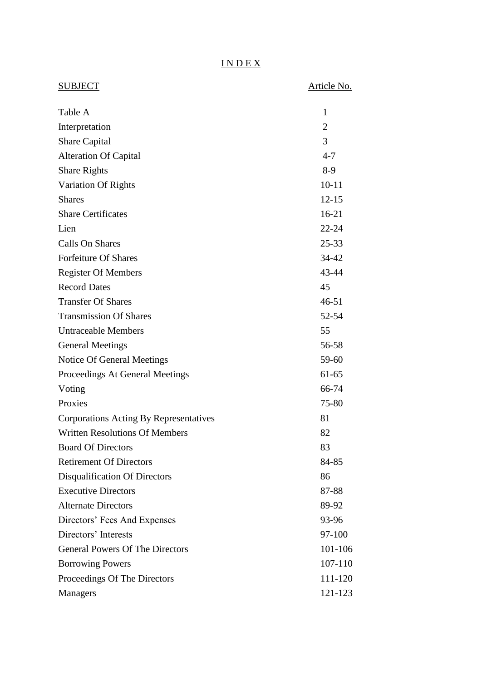# I N D E X

| <b>SUBJECT</b>                         | Article No.    |
|----------------------------------------|----------------|
| Table A                                | 1              |
| Interpretation                         | $\overline{2}$ |
| <b>Share Capital</b>                   | 3              |
| <b>Alteration Of Capital</b>           | $4 - 7$        |
| <b>Share Rights</b>                    | $8-9$          |
| Variation Of Rights                    | $10 - 11$      |
| <b>Shares</b>                          | $12 - 15$      |
| <b>Share Certificates</b>              | $16 - 21$      |
| Lien                                   | 22-24          |
| Calls On Shares                        | $25 - 33$      |
| <b>Forfeiture Of Shares</b>            | 34-42          |
| <b>Register Of Members</b>             | 43-44          |
| <b>Record Dates</b>                    | 45             |
| <b>Transfer Of Shares</b>              | $46 - 51$      |
| <b>Transmission Of Shares</b>          | 52-54          |
| <b>Untraceable Members</b>             | 55             |
| <b>General Meetings</b>                | 56-58          |
| Notice Of General Meetings             | 59-60          |
| Proceedings At General Meetings        | $61 - 65$      |
| Voting                                 | 66-74          |
| Proxies                                | 75-80          |
| Corporations Acting By Representatives | 81             |
| <b>Written Resolutions Of Members</b>  | 82             |
| <b>Board Of Directors</b>              | 83             |
| <b>Retirement Of Directors</b>         | 84-85          |
| Disqualification Of Directors          | 86             |
| <b>Executive Directors</b>             | 87-88          |
| <b>Alternate Directors</b>             | 89-92          |
| Directors' Fees And Expenses           | 93-96          |
| Directors' Interests                   | 97-100         |
| <b>General Powers Of The Directors</b> | 101-106        |
| <b>Borrowing Powers</b>                | 107-110        |
| Proceedings Of The Directors           | 111-120        |
| Managers                               | 121-123        |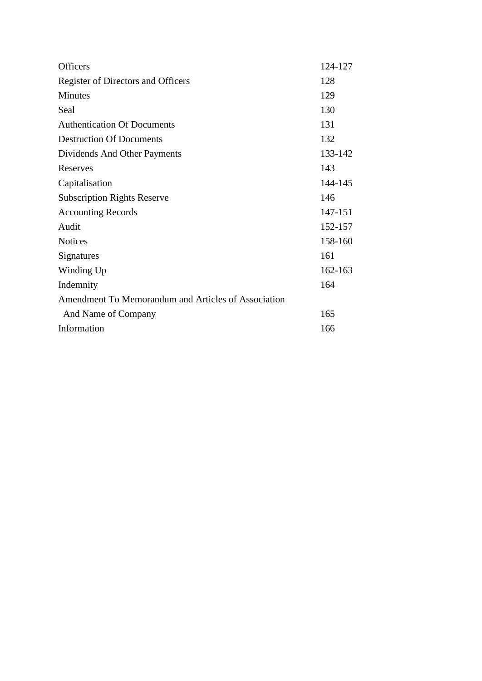| <b>Officers</b>                                     | 124-127 |
|-----------------------------------------------------|---------|
| Register of Directors and Officers                  | 128     |
| <b>Minutes</b>                                      | 129     |
| Seal                                                | 130     |
| <b>Authentication Of Documents</b>                  | 131     |
| <b>Destruction Of Documents</b>                     | 132     |
| Dividends And Other Payments                        | 133-142 |
| Reserves                                            | 143     |
| Capitalisation                                      | 144-145 |
| <b>Subscription Rights Reserve</b>                  | 146     |
| <b>Accounting Records</b>                           | 147-151 |
| Audit                                               | 152-157 |
| <b>Notices</b>                                      | 158-160 |
| Signatures                                          | 161     |
| Winding Up                                          | 162-163 |
| Indemnity                                           | 164     |
| Amendment To Memorandum and Articles of Association |         |
| And Name of Company                                 | 165     |
| Information                                         | 166     |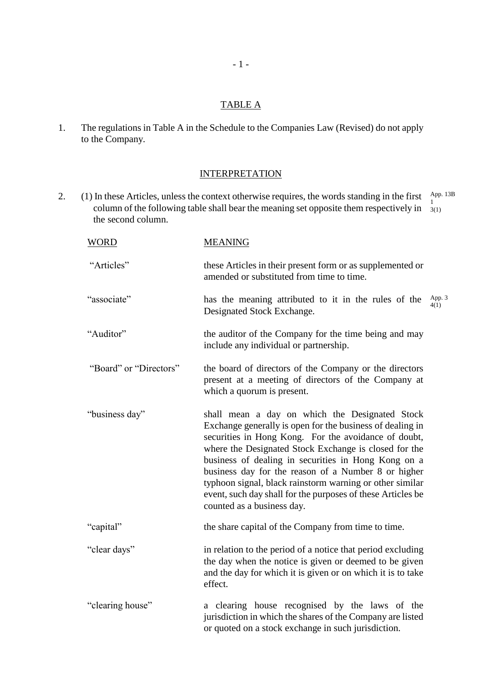# TABLE A

1. The regulations in Table A in the Schedule to the Companies Law (Revised) do not apply to the Company.

## **INTERPRETATION**

2. (1) In these Articles, unless the context otherwise requires, the words standing in the first  $\frac{\text{App. 13B}}{1}$ column of the following table shall bear the meaning set opposite them respectively in  $\frac{1}{3}$  the second column. 3(1)

| <b>WORD</b>            | <b>MEANING</b>                                                                                                                                                                                                                                                                                                                                                                                                                                                                                      |                |
|------------------------|-----------------------------------------------------------------------------------------------------------------------------------------------------------------------------------------------------------------------------------------------------------------------------------------------------------------------------------------------------------------------------------------------------------------------------------------------------------------------------------------------------|----------------|
| "Articles"             | these Articles in their present form or as supplemented or<br>amended or substituted from time to time.                                                                                                                                                                                                                                                                                                                                                                                             |                |
| "associate"            | has the meaning attributed to it in the rules of the<br>Designated Stock Exchange.                                                                                                                                                                                                                                                                                                                                                                                                                  | App. 3<br>4(1) |
| "Auditor"              | the auditor of the Company for the time being and may<br>include any individual or partnership.                                                                                                                                                                                                                                                                                                                                                                                                     |                |
| "Board" or "Directors" | the board of directors of the Company or the directors<br>present at a meeting of directors of the Company at<br>which a quorum is present.                                                                                                                                                                                                                                                                                                                                                         |                |
| "business day"         | shall mean a day on which the Designated Stock<br>Exchange generally is open for the business of dealing in<br>securities in Hong Kong. For the avoidance of doubt,<br>where the Designated Stock Exchange is closed for the<br>business of dealing in securities in Hong Kong on a<br>business day for the reason of a Number 8 or higher<br>typhoon signal, black rainstorm warning or other similar<br>event, such day shall for the purposes of these Articles be<br>counted as a business day. |                |
| "capital"              | the share capital of the Company from time to time.                                                                                                                                                                                                                                                                                                                                                                                                                                                 |                |
| "clear days"           | in relation to the period of a notice that period excluding<br>the day when the notice is given or deemed to be given<br>and the day for which it is given or on which it is to take<br>effect.                                                                                                                                                                                                                                                                                                     |                |
| "clearing house"       | a clearing house recognised by the laws of the<br>jurisdiction in which the shares of the Company are listed<br>or quoted on a stock exchange in such jurisdiction.                                                                                                                                                                                                                                                                                                                                 |                |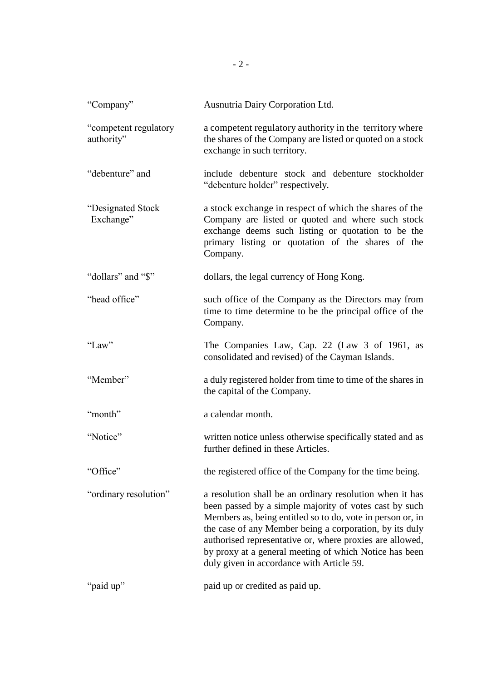| "Company"                           | Ausnutria Dairy Corporation Ltd.                                                                                                                                                                                                                                                                                                                                                                               |
|-------------------------------------|----------------------------------------------------------------------------------------------------------------------------------------------------------------------------------------------------------------------------------------------------------------------------------------------------------------------------------------------------------------------------------------------------------------|
| "competent regulatory<br>authority" | a competent regulatory authority in the territory where<br>the shares of the Company are listed or quoted on a stock<br>exchange in such territory.                                                                                                                                                                                                                                                            |
| "debenture" and                     | include debenture stock and debenture stockholder<br>"debenture holder" respectively.                                                                                                                                                                                                                                                                                                                          |
| "Designated Stock"<br>Exchange"     | a stock exchange in respect of which the shares of the<br>Company are listed or quoted and where such stock<br>exchange deems such listing or quotation to be the<br>primary listing or quotation of the shares of the<br>Company.                                                                                                                                                                             |
| "dollars" and "\$"                  | dollars, the legal currency of Hong Kong.                                                                                                                                                                                                                                                                                                                                                                      |
| "head office"                       | such office of the Company as the Directors may from<br>time to time determine to be the principal office of the<br>Company.                                                                                                                                                                                                                                                                                   |
| "Law"                               | The Companies Law, Cap. 22 (Law 3 of 1961, as<br>consolidated and revised) of the Cayman Islands.                                                                                                                                                                                                                                                                                                              |
| "Member"                            | a duly registered holder from time to time of the shares in<br>the capital of the Company.                                                                                                                                                                                                                                                                                                                     |
| "month"                             | a calendar month.                                                                                                                                                                                                                                                                                                                                                                                              |
| "Notice"                            | written notice unless otherwise specifically stated and as<br>further defined in these Articles.                                                                                                                                                                                                                                                                                                               |
| "Office"                            | the registered office of the Company for the time being.                                                                                                                                                                                                                                                                                                                                                       |
| "ordinary resolution"               | a resolution shall be an ordinary resolution when it has<br>been passed by a simple majority of votes cast by such<br>Members as, being entitled so to do, vote in person or, in<br>the case of any Member being a corporation, by its duly<br>authorised representative or, where proxies are allowed,<br>by proxy at a general meeting of which Notice has been<br>duly given in accordance with Article 59. |
| "paid up"                           | paid up or credited as paid up.                                                                                                                                                                                                                                                                                                                                                                                |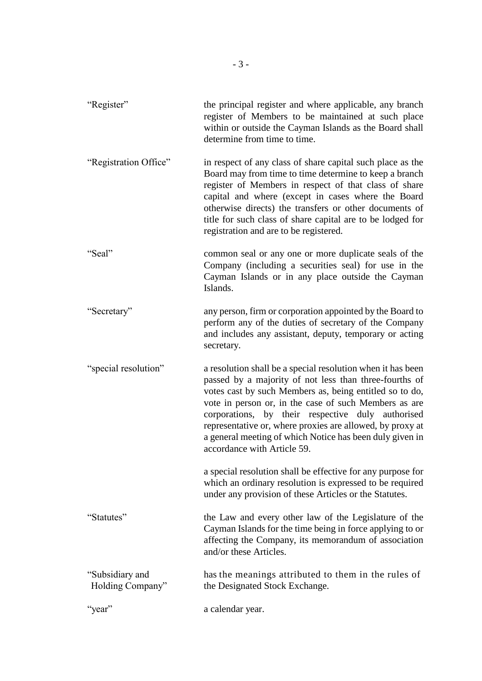"Register" the principal register and where applicable, any branch register of Members to be maintained at such place within or outside the Cayman Islands as the Board shall determine from time to time. "Registration Office" in respect of any class of share capital such place as the Board may from time to time determine to keep a branch register of Members in respect of that class of share capital and where (except in cases where the Board otherwise directs) the transfers or other documents of title for such class of share capital are to be lodged for registration and are to be registered. "Seal" common seal or any one or more duplicate seals of the Company (including a securities seal) for use in the Cayman Islands or in any place outside the Cayman Islands. "Secretary" any person, firm or corporation appointed by the Board to perform any of the duties of secretary of the Company and includes any assistant, deputy, temporary or acting secretary. "special resolution" a resolution shall be a special resolution when it has been passed by a majority of not less than three-fourths of votes cast by such Members as, being entitled so to do, vote in person or, in the case of such Members as are corporations, by their respective duly authorised representative or, where proxies are allowed, by proxy at a general meeting of which Notice has been duly given in accordance with Article 59. a special resolution shall be effective for any purpose for which an ordinary resolution is expressed to be required under any provision of these Articles or the Statutes. "Statutes" the Law and every other law of the Legislature of the Cayman Islands for the time being in force applying to or affecting the Company, its memorandum of association and/or these Articles. "Subsidiary and has the meanings attributed to them in the rules of Holding Company" the Designated Stock Exchange. "year" a calendar year.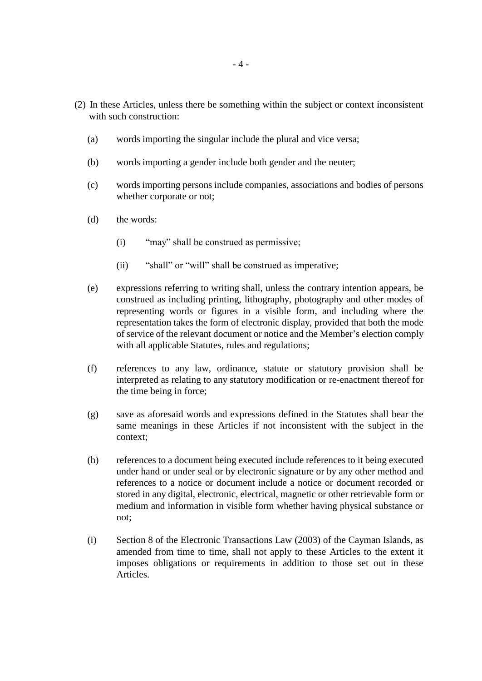- (2) In these Articles, unless there be something within the subject or context inconsistent with such construction:
	- (a) words importing the singular include the plural and vice versa;
	- (b) words importing a gender include both gender and the neuter;
	- (c) words importing persons include companies, associations and bodies of persons whether corporate or not;
	- (d) the words:
		- (i) "may" shall be construed as permissive;
		- (ii) "shall" or "will" shall be construed as imperative;
	- (e) expressions referring to writing shall, unless the contrary intention appears, be construed as including printing, lithography, photography and other modes of representing words or figures in a visible form, and including where the representation takes the form of electronic display, provided that both the mode of service of the relevant document or notice and the Member's election comply with all applicable Statutes, rules and regulations;
	- (f) references to any law, ordinance, statute or statutory provision shall be interpreted as relating to any statutory modification or re-enactment thereof for the time being in force;
	- (g) save as aforesaid words and expressions defined in the Statutes shall bear the same meanings in these Articles if not inconsistent with the subject in the context;
	- (h) references to a document being executed include references to it being executed under hand or under seal or by electronic signature or by any other method and references to a notice or document include a notice or document recorded or stored in any digital, electronic, electrical, magnetic or other retrievable form or medium and information in visible form whether having physical substance or not;
	- (i) Section 8 of the Electronic Transactions Law (2003) of the Cayman Islands, as amended from time to time, shall not apply to these Articles to the extent it imposes obligations or requirements in addition to those set out in these Articles.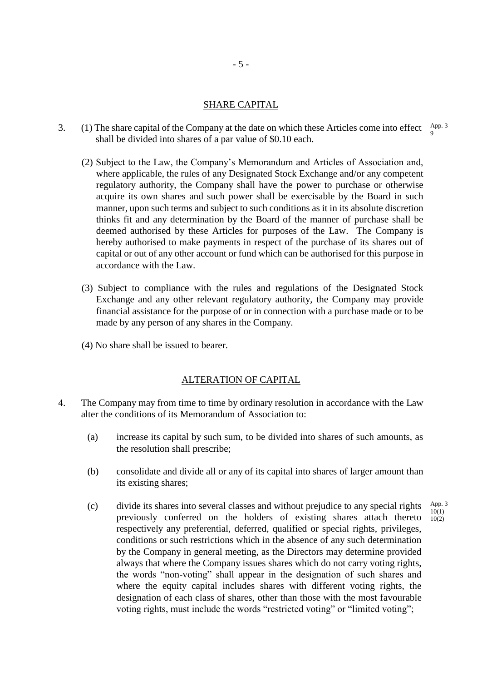### SHARE CAPITAL

- 3. (1) The share capital of the Company at the date on which these Articles come into effect  $A_{\text{pp}}^{A\text{pp}}$ . shall be divided into shares of a par value of \$0.10 each. 9
	- (2) Subject to the Law, the Company's Memorandum and Articles of Association and, where applicable, the rules of any Designated Stock Exchange and/or any competent regulatory authority, the Company shall have the power to purchase or otherwise acquire its own shares and such power shall be exercisable by the Board in such manner, upon such terms and subject to such conditions as it in its absolute discretion thinks fit and any determination by the Board of the manner of purchase shall be deemed authorised by these Articles for purposes of the Law. The Company is hereby authorised to make payments in respect of the purchase of its shares out of capital or out of any other account or fund which can be authorised for this purpose in accordance with the Law.
	- (3) Subject to compliance with the rules and regulations of the Designated Stock Exchange and any other relevant regulatory authority, the Company may provide financial assistance for the purpose of or in connection with a purchase made or to be made by any person of any shares in the Company.
	- (4) No share shall be issued to bearer.

#### ALTERATION OF CAPITAL

- 4. The Company may from time to time by ordinary resolution in accordance with the Law alter the conditions of its Memorandum of Association to:
	- (a) increase its capital by such sum, to be divided into shares of such amounts, as the resolution shall prescribe;
	- (b) consolidate and divide all or any of its capital into shares of larger amount than its existing shares;
	- (c) divide its shares into several classes and without prejudice to any special rights previously conferred on the holders of existing shares attach thereto respectively any preferential, deferred, qualified or special rights, privileges, conditions or such restrictions which in the absence of any such determination by the Company in general meeting, as the Directors may determine provided always that where the Company issues shares which do not carry voting rights, the words "non-voting" shall appear in the designation of such shares and where the equity capital includes shares with different voting rights, the designation of each class of shares, other than those with the most favourable voting rights, must include the words "restricted voting" or "limited voting"; App. 3  $10(1)$  $10(2)$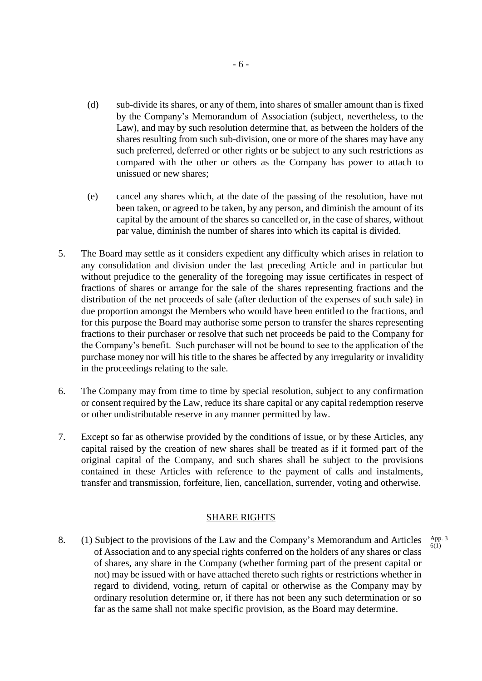- (d) sub-divide its shares, or any of them, into shares of smaller amount than is fixed by the Company's Memorandum of Association (subject, nevertheless, to the Law), and may by such resolution determine that, as between the holders of the shares resulting from such sub-division, one or more of the shares may have any such preferred, deferred or other rights or be subject to any such restrictions as compared with the other or others as the Company has power to attach to unissued or new shares;
- (e) cancel any shares which, at the date of the passing of the resolution, have not been taken, or agreed to be taken, by any person, and diminish the amount of its capital by the amount of the shares so cancelled or, in the case of shares, without par value, diminish the number of shares into which its capital is divided.
- 5. The Board may settle as it considers expedient any difficulty which arises in relation to any consolidation and division under the last preceding Article and in particular but without prejudice to the generality of the foregoing may issue certificates in respect of fractions of shares or arrange for the sale of the shares representing fractions and the distribution of the net proceeds of sale (after deduction of the expenses of such sale) in due proportion amongst the Members who would have been entitled to the fractions, and for this purpose the Board may authorise some person to transfer the shares representing fractions to their purchaser or resolve that such net proceeds be paid to the Company for the Company's benefit. Such purchaser will not be bound to see to the application of the purchase money nor will his title to the shares be affected by any irregularity or invalidity in the proceedings relating to the sale.
- 6. The Company may from time to time by special resolution, subject to any confirmation or consent required by the Law, reduce its share capital or any capital redemption reserve or other undistributable reserve in any manner permitted by law.
- 7. Except so far as otherwise provided by the conditions of issue, or by these Articles, any capital raised by the creation of new shares shall be treated as if it formed part of the original capital of the Company, and such shares shall be subject to the provisions contained in these Articles with reference to the payment of calls and instalments, transfer and transmission, forfeiture, lien, cancellation, surrender, voting and otherwise.

## SHARE RIGHTS

8. (1) Subject to the provisions of the Law and the Company's Memorandum and Articles of Association and to any special rights conferred on the holders of any shares or class of shares, any share in the Company (whether forming part of the present capital or not) may be issued with or have attached thereto such rights or restrictions whether in regard to dividend, voting, return of capital or otherwise as the Company may by ordinary resolution determine or, if there has not been any such determination or so far as the same shall not make specific provision, as the Board may determine. App. 3 6(1)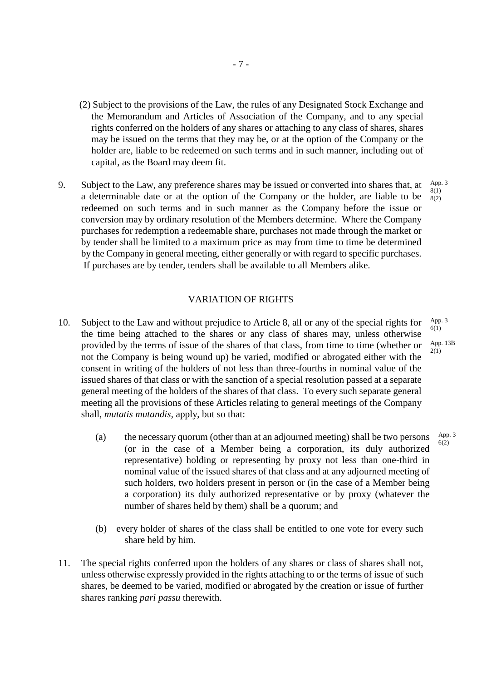- (2) Subject to the provisions of the Law, the rules of any Designated Stock Exchange and the Memorandum and Articles of Association of the Company, and to any special rights conferred on the holders of any shares or attaching to any class of shares, shares may be issued on the terms that they may be, or at the option of the Company or the holder are, liable to be redeemed on such terms and in such manner, including out of capital, as the Board may deem fit.
- 9. Subject to the Law, any preference shares may be issued or converted into shares that, at a determinable date or at the option of the Company or the holder, are liable to be redeemed on such terms and in such manner as the Company before the issue or conversion may by ordinary resolution of the Members determine. Where the Company purchases for redemption a redeemable share, purchases not made through the market or by tender shall be limited to a maximum price as may from time to time be determined by the Company in general meeting, either generally or with regard to specific purchases. If purchases are by tender, tenders shall be available to all Members alike.

### VARIATION OF RIGHTS

- 10. Subject to the Law and without prejudice to Article 8, all or any of the special rights for the time being attached to the shares or any class of shares may, unless otherwise provided by the terms of issue of the shares of that class, from time to time (whether or not the Company is being wound up) be varied, modified or abrogated either with the consent in writing of the holders of not less than three-fourths in nominal value of the issued shares of that class or with the sanction of a special resolution passed at a separate general meeting of the holders of the shares of that class. To every such separate general meeting all the provisions of these Articles relating to general meetings of the Company shall, *mutatis mutandis*, apply, but so that: App. 3 6(1)
	- (a) the necessary quorum (other than at an adjourned meeting) shall be two persons (or in the case of a Member being a corporation, its duly authorized representative) holding or representing by proxy not less than one-third in nominal value of the issued shares of that class and at any adjourned meeting of such holders, two holders present in person or (in the case of a Member being a corporation) its duly authorized representative or by proxy (whatever the number of shares held by them) shall be a quorum; and
	- (b) every holder of shares of the class shall be entitled to one vote for every such share held by him.
- 11. The special rights conferred upon the holders of any shares or class of shares shall not, unless otherwise expressly provided in the rights attaching to or the terms of issue of such shares, be deemed to be varied, modified or abrogated by the creation or issue of further shares ranking *pari passu* therewith.

App. 3 8(1) 8(2)

App. 13B 2(1)

> App. 3 6(2)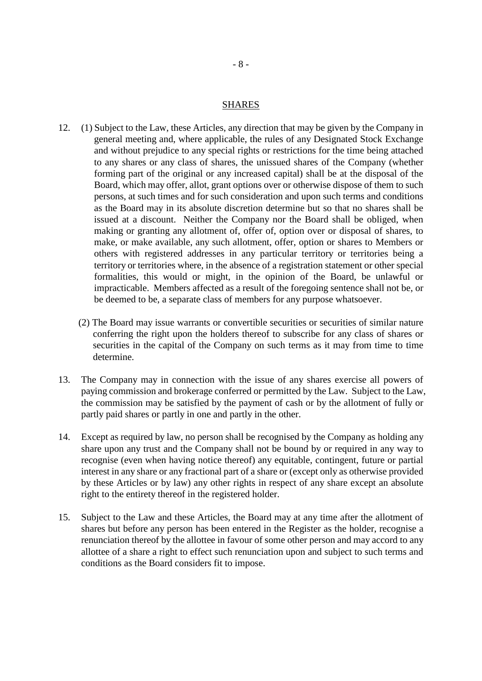### SHARES

- 12. (1) Subject to the Law, these Articles, any direction that may be given by the Company in general meeting and, where applicable, the rules of any Designated Stock Exchange and without prejudice to any special rights or restrictions for the time being attached to any shares or any class of shares, the unissued shares of the Company (whether forming part of the original or any increased capital) shall be at the disposal of the Board, which may offer, allot, grant options over or otherwise dispose of them to such persons, at such times and for such consideration and upon such terms and conditions as the Board may in its absolute discretion determine but so that no shares shall be issued at a discount. Neither the Company nor the Board shall be obliged, when making or granting any allotment of, offer of, option over or disposal of shares, to make, or make available, any such allotment, offer, option or shares to Members or others with registered addresses in any particular territory or territories being a territory or territories where, in the absence of a registration statement or other special formalities, this would or might, in the opinion of the Board, be unlawful or impracticable. Members affected as a result of the foregoing sentence shall not be, or be deemed to be, a separate class of members for any purpose whatsoever.
	- (2) The Board may issue warrants or convertible securities or securities of similar nature conferring the right upon the holders thereof to subscribe for any class of shares or securities in the capital of the Company on such terms as it may from time to time determine.
- 13. The Company may in connection with the issue of any shares exercise all powers of paying commission and brokerage conferred or permitted by the Law. Subject to the Law, the commission may be satisfied by the payment of cash or by the allotment of fully or partly paid shares or partly in one and partly in the other.
- 14. Except as required by law, no person shall be recognised by the Company as holding any share upon any trust and the Company shall not be bound by or required in any way to recognise (even when having notice thereof) any equitable, contingent, future or partial interest in any share or any fractional part of a share or (except only as otherwise provided by these Articles or by law) any other rights in respect of any share except an absolute right to the entirety thereof in the registered holder.
- 15. Subject to the Law and these Articles, the Board may at any time after the allotment of shares but before any person has been entered in the Register as the holder, recognise a renunciation thereof by the allottee in favour of some other person and may accord to any allottee of a share a right to effect such renunciation upon and subject to such terms and conditions as the Board considers fit to impose.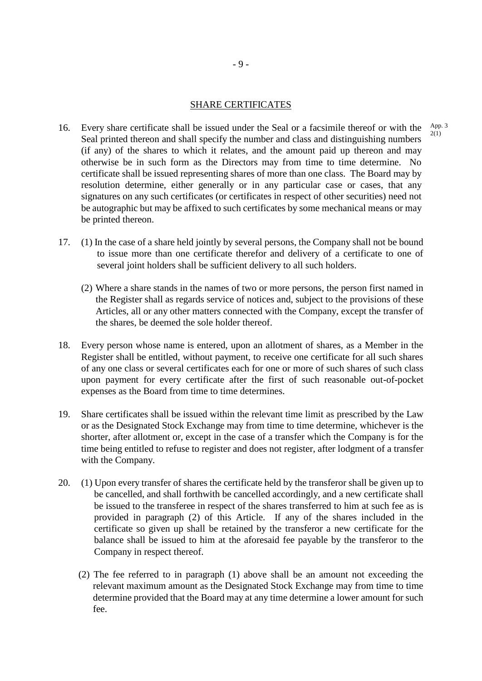## SHARE CERTIFICATES

- 16. Every share certificate shall be issued under the Seal or a facsimile thereof or with the Seal printed thereon and shall specify the number and class and distinguishing numbers (if any) of the shares to which it relates, and the amount paid up thereon and may otherwise be in such form as the Directors may from time to time determine. No certificate shall be issued representing shares of more than one class. The Board may by resolution determine, either generally or in any particular case or cases, that any signatures on any such certificates (or certificates in respect of other securities) need not be autographic but may be affixed to such certificates by some mechanical means or may be printed thereon.
- 17. (1) In the case of a share held jointly by several persons, the Company shall not be bound to issue more than one certificate therefor and delivery of a certificate to one of several joint holders shall be sufficient delivery to all such holders.
	- (2) Where a share stands in the names of two or more persons, the person first named in the Register shall as regards service of notices and, subject to the provisions of these Articles, all or any other matters connected with the Company, except the transfer of the shares, be deemed the sole holder thereof.
- 18. Every person whose name is entered, upon an allotment of shares, as a Member in the Register shall be entitled, without payment, to receive one certificate for all such shares of any one class or several certificates each for one or more of such shares of such class upon payment for every certificate after the first of such reasonable out-of-pocket expenses as the Board from time to time determines.
- 19. Share certificates shall be issued within the relevant time limit as prescribed by the Law or as the Designated Stock Exchange may from time to time determine, whichever is the shorter, after allotment or, except in the case of a transfer which the Company is for the time being entitled to refuse to register and does not register, after lodgment of a transfer with the Company.
- 20. (1) Upon every transfer of shares the certificate held by the transferor shall be given up to be cancelled, and shall forthwith be cancelled accordingly, and a new certificate shall be issued to the transferee in respect of the shares transferred to him at such fee as is provided in paragraph (2) of this Article. If any of the shares included in the certificate so given up shall be retained by the transferor a new certificate for the balance shall be issued to him at the aforesaid fee payable by the transferor to the Company in respect thereof.
	- (2) The fee referred to in paragraph (1) above shall be an amount not exceeding the relevant maximum amount as the Designated Stock Exchange may from time to time determine provided that the Board may at any time determine a lower amount for such fee.

App. 3 2(1)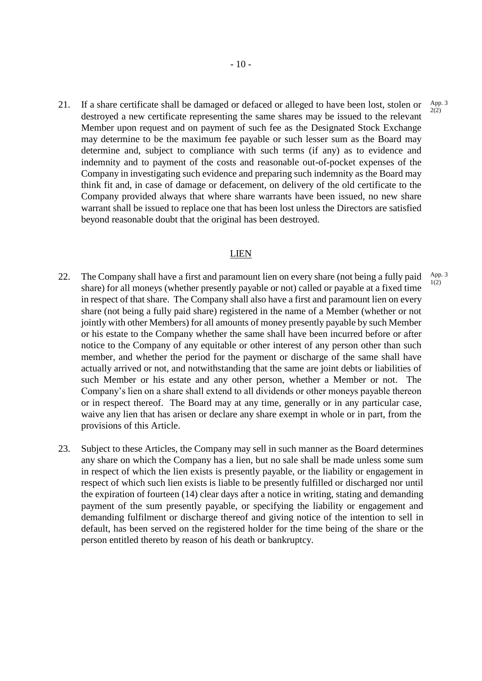21. If a share certificate shall be damaged or defaced or alleged to have been lost, stolen or destroyed a new certificate representing the same shares may be issued to the relevant Member upon request and on payment of such fee as the Designated Stock Exchange may determine to be the maximum fee payable or such lesser sum as the Board may determine and, subject to compliance with such terms (if any) as to evidence and indemnity and to payment of the costs and reasonable out-of-pocket expenses of the Company in investigating such evidence and preparing such indemnity as the Board may think fit and, in case of damage or defacement, on delivery of the old certificate to the Company provided always that where share warrants have been issued, no new share warrant shall be issued to replace one that has been lost unless the Directors are satisfied beyond reasonable doubt that the original has been destroyed.

## LIEN

- 22. The Company shall have a first and paramount lien on every share (not being a fully paid share) for all moneys (whether presently payable or not) called or payable at a fixed time in respect of that share. The Company shall also have a first and paramount lien on every share (not being a fully paid share) registered in the name of a Member (whether or not jointly with other Members) for all amounts of money presently payable by such Member or his estate to the Company whether the same shall have been incurred before or after notice to the Company of any equitable or other interest of any person other than such member, and whether the period for the payment or discharge of the same shall have actually arrived or not, and notwithstanding that the same are joint debts or liabilities of such Member or his estate and any other person, whether a Member or not. The Company's lien on a share shall extend to all dividends or other moneys payable thereon or in respect thereof. The Board may at any time, generally or in any particular case, waive any lien that has arisen or declare any share exempt in whole or in part, from the provisions of this Article.
- 23. Subject to these Articles, the Company may sell in such manner as the Board determines any share on which the Company has a lien, but no sale shall be made unless some sum in respect of which the lien exists is presently payable, or the liability or engagement in respect of which such lien exists is liable to be presently fulfilled or discharged nor until the expiration of fourteen (14) clear days after a notice in writing, stating and demanding payment of the sum presently payable, or specifying the liability or engagement and demanding fulfilment or discharge thereof and giving notice of the intention to sell in default, has been served on the registered holder for the time being of the share or the person entitled thereto by reason of his death or bankruptcy.

App. 3 2(2)

App. 3 1(2)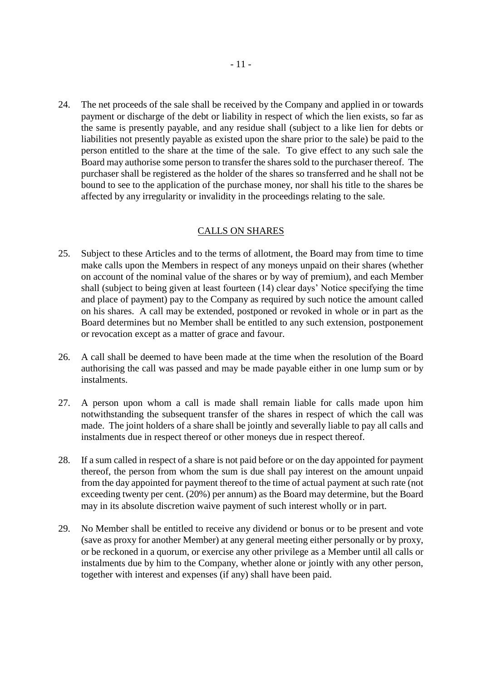24. The net proceeds of the sale shall be received by the Company and applied in or towards payment or discharge of the debt or liability in respect of which the lien exists, so far as the same is presently payable, and any residue shall (subject to a like lien for debts or liabilities not presently payable as existed upon the share prior to the sale) be paid to the person entitled to the share at the time of the sale. To give effect to any such sale the Board may authorise some person to transfer the shares sold to the purchaser thereof. The purchaser shall be registered as the holder of the shares so transferred and he shall not be bound to see to the application of the purchase money, nor shall his title to the shares be affected by any irregularity or invalidity in the proceedings relating to the sale.

## CALLS ON SHARES

- 25. Subject to these Articles and to the terms of allotment, the Board may from time to time make calls upon the Members in respect of any moneys unpaid on their shares (whether on account of the nominal value of the shares or by way of premium), and each Member shall (subject to being given at least fourteen (14) clear days' Notice specifying the time and place of payment) pay to the Company as required by such notice the amount called on his shares. A call may be extended, postponed or revoked in whole or in part as the Board determines but no Member shall be entitled to any such extension, postponement or revocation except as a matter of grace and favour.
- 26. A call shall be deemed to have been made at the time when the resolution of the Board authorising the call was passed and may be made payable either in one lump sum or by instalments.
- 27. A person upon whom a call is made shall remain liable for calls made upon him notwithstanding the subsequent transfer of the shares in respect of which the call was made. The joint holders of a share shall be jointly and severally liable to pay all calls and instalments due in respect thereof or other moneys due in respect thereof.
- 28. If a sum called in respect of a share is not paid before or on the day appointed for payment thereof, the person from whom the sum is due shall pay interest on the amount unpaid from the day appointed for payment thereof to the time of actual payment at such rate (not exceeding twenty per cent. (20%) per annum) as the Board may determine, but the Board may in its absolute discretion waive payment of such interest wholly or in part.
- 29. No Member shall be entitled to receive any dividend or bonus or to be present and vote (save as proxy for another Member) at any general meeting either personally or by proxy, or be reckoned in a quorum, or exercise any other privilege as a Member until all calls or instalments due by him to the Company, whether alone or jointly with any other person, together with interest and expenses (if any) shall have been paid.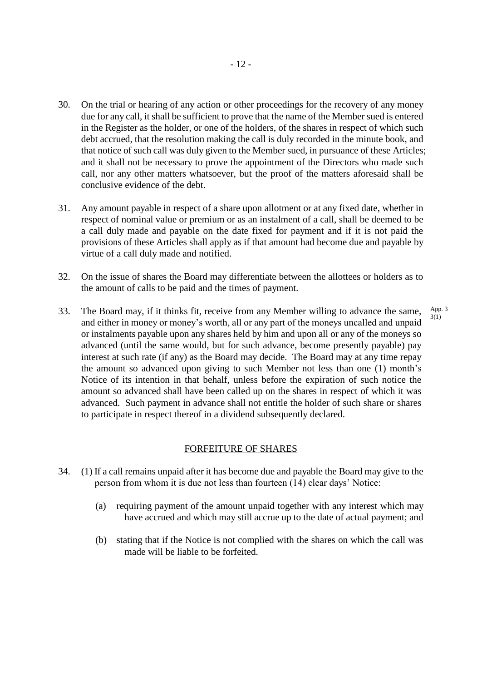- 30. On the trial or hearing of any action or other proceedings for the recovery of any money due for any call, it shall be sufficient to prove that the name of the Member sued is entered in the Register as the holder, or one of the holders, of the shares in respect of which such debt accrued, that the resolution making the call is duly recorded in the minute book, and that notice of such call was duly given to the Member sued, in pursuance of these Articles; and it shall not be necessary to prove the appointment of the Directors who made such call, nor any other matters whatsoever, but the proof of the matters aforesaid shall be conclusive evidence of the debt.
- 31. Any amount payable in respect of a share upon allotment or at any fixed date, whether in respect of nominal value or premium or as an instalment of a call, shall be deemed to be a call duly made and payable on the date fixed for payment and if it is not paid the provisions of these Articles shall apply as if that amount had become due and payable by virtue of a call duly made and notified.
- 32. On the issue of shares the Board may differentiate between the allottees or holders as to the amount of calls to be paid and the times of payment.
- 33. The Board may, if it thinks fit, receive from any Member willing to advance the same, and either in money or money's worth, all or any part of the moneys uncalled and unpaid or instalments payable upon any shares held by him and upon all or any of the moneys so advanced (until the same would, but for such advance, become presently payable) pay interest at such rate (if any) as the Board may decide. The Board may at any time repay the amount so advanced upon giving to such Member not less than one (1) month's Notice of its intention in that behalf, unless before the expiration of such notice the amount so advanced shall have been called up on the shares in respect of which it was advanced. Such payment in advance shall not entitle the holder of such share or shares to participate in respect thereof in a dividend subsequently declared. App. 3 3(1)

#### FORFEITURE OF SHARES

- 34. (1) If a call remains unpaid after it has become due and payable the Board may give to the person from whom it is due not less than fourteen (14) clear days' Notice:
	- (a) requiring payment of the amount unpaid together with any interest which may have accrued and which may still accrue up to the date of actual payment; and
	- (b) stating that if the Notice is not complied with the shares on which the call was made will be liable to be forfeited.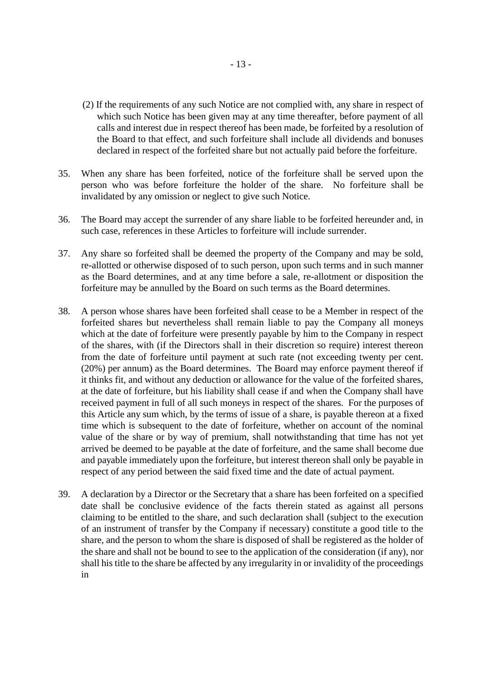- (2) If the requirements of any such Notice are not complied with, any share in respect of which such Notice has been given may at any time thereafter, before payment of all calls and interest due in respect thereof has been made, be forfeited by a resolution of the Board to that effect, and such forfeiture shall include all dividends and bonuses declared in respect of the forfeited share but not actually paid before the forfeiture.
- 35. When any share has been forfeited, notice of the forfeiture shall be served upon the person who was before forfeiture the holder of the share. No forfeiture shall be invalidated by any omission or neglect to give such Notice.
- 36. The Board may accept the surrender of any share liable to be forfeited hereunder and, in such case, references in these Articles to forfeiture will include surrender.
- 37. Any share so forfeited shall be deemed the property of the Company and may be sold, re-allotted or otherwise disposed of to such person, upon such terms and in such manner as the Board determines, and at any time before a sale, re-allotment or disposition the forfeiture may be annulled by the Board on such terms as the Board determines.
- 38. A person whose shares have been forfeited shall cease to be a Member in respect of the forfeited shares but nevertheless shall remain liable to pay the Company all moneys which at the date of forfeiture were presently payable by him to the Company in respect of the shares, with (if the Directors shall in their discretion so require) interest thereon from the date of forfeiture until payment at such rate (not exceeding twenty per cent. (20%) per annum) as the Board determines. The Board may enforce payment thereof if it thinks fit, and without any deduction or allowance for the value of the forfeited shares, at the date of forfeiture, but his liability shall cease if and when the Company shall have received payment in full of all such moneys in respect of the shares. For the purposes of this Article any sum which, by the terms of issue of a share, is payable thereon at a fixed time which is subsequent to the date of forfeiture, whether on account of the nominal value of the share or by way of premium, shall notwithstanding that time has not yet arrived be deemed to be payable at the date of forfeiture, and the same shall become due and payable immediately upon the forfeiture, but interest thereon shall only be payable in respect of any period between the said fixed time and the date of actual payment.
- 39. A declaration by a Director or the Secretary that a share has been forfeited on a specified date shall be conclusive evidence of the facts therein stated as against all persons claiming to be entitled to the share, and such declaration shall (subject to the execution of an instrument of transfer by the Company if necessary) constitute a good title to the share, and the person to whom the share is disposed of shall be registered as the holder of the share and shall not be bound to see to the application of the consideration (if any), nor shall his title to the share be affected by any irregularity in or invalidity of the proceedings in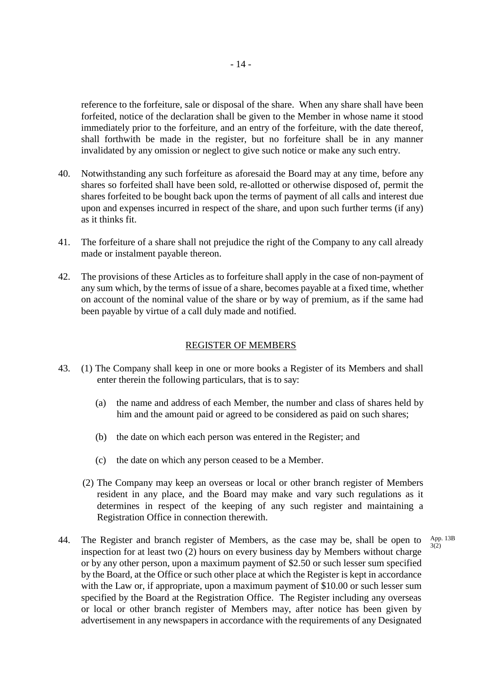reference to the forfeiture, sale or disposal of the share. When any share shall have been forfeited, notice of the declaration shall be given to the Member in whose name it stood immediately prior to the forfeiture, and an entry of the forfeiture, with the date thereof, shall forthwith be made in the register, but no forfeiture shall be in any manner invalidated by any omission or neglect to give such notice or make any such entry.

- 40. Notwithstanding any such forfeiture as aforesaid the Board may at any time, before any shares so forfeited shall have been sold, re-allotted or otherwise disposed of, permit the shares forfeited to be bought back upon the terms of payment of all calls and interest due upon and expenses incurred in respect of the share, and upon such further terms (if any) as it thinks fit.
- 41. The forfeiture of a share shall not prejudice the right of the Company to any call already made or instalment payable thereon.
- 42. The provisions of these Articles as to forfeiture shall apply in the case of non-payment of any sum which, by the terms of issue of a share, becomes payable at a fixed time, whether on account of the nominal value of the share or by way of premium, as if the same had been payable by virtue of a call duly made and notified.

#### REGISTER OF MEMBERS

- 43. (1) The Company shall keep in one or more books a Register of its Members and shall enter therein the following particulars, that is to say:
	- (a) the name and address of each Member, the number and class of shares held by him and the amount paid or agreed to be considered as paid on such shares;
	- (b) the date on which each person was entered in the Register; and
	- (c) the date on which any person ceased to be a Member.
	- (2) The Company may keep an overseas or local or other branch register of Members resident in any place, and the Board may make and vary such regulations as it determines in respect of the keeping of any such register and maintaining a Registration Office in connection therewith.

3(2)

44. The Register and branch register of Members, as the case may be, shall be open to inspection for at least two (2) hours on every business day by Members without charge or by any other person, upon a maximum payment of \$2.50 or such lesser sum specified by the Board, at the Office or such other place at which the Register is kept in accordance with the Law or, if appropriate, upon a maximum payment of \$10.00 or such lesser sum specified by the Board at the Registration Office. The Register including any overseas or local or other branch register of Members may, after notice has been given by advertisement in any newspapers in accordance with the requirements of any Designated App. 13B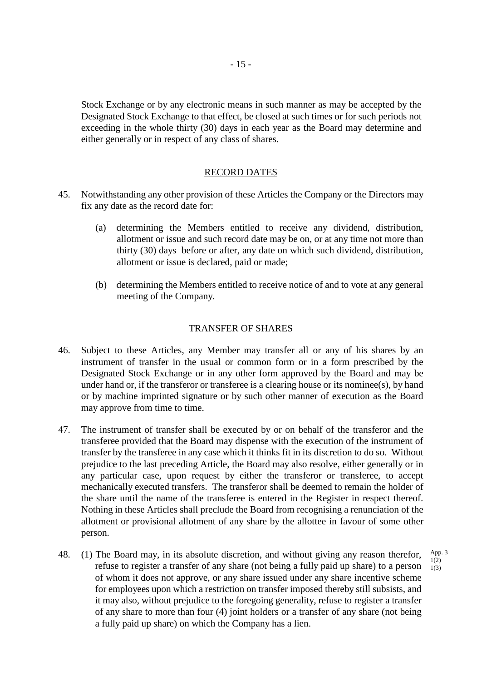Stock Exchange or by any electronic means in such manner as may be accepted by the Designated Stock Exchange to that effect, be closed at such times or for such periods not exceeding in the whole thirty (30) days in each year as the Board may determine and either generally or in respect of any class of shares.

#### RECORD DATES

- 45. Notwithstanding any other provision of these Articles the Company or the Directors may fix any date as the record date for:
	- (a) determining the Members entitled to receive any dividend, distribution, allotment or issue and such record date may be on, or at any time not more than thirty (30) days before or after, any date on which such dividend, distribution, allotment or issue is declared, paid or made;
	- (b) determining the Members entitled to receive notice of and to vote at any general meeting of the Company.

#### TRANSFER OF SHARES

- 46. Subject to these Articles, any Member may transfer all or any of his shares by an instrument of transfer in the usual or common form or in a form prescribed by the Designated Stock Exchange or in any other form approved by the Board and may be under hand or, if the transferor or transferee is a clearing house or its nominee(s), by hand or by machine imprinted signature or by such other manner of execution as the Board may approve from time to time.
- 47. The instrument of transfer shall be executed by or on behalf of the transferor and the transferee provided that the Board may dispense with the execution of the instrument of transfer by the transferee in any case which it thinks fit in its discretion to do so. Without prejudice to the last preceding Article, the Board may also resolve, either generally or in any particular case, upon request by either the transferor or transferee, to accept mechanically executed transfers. The transferor shall be deemed to remain the holder of the share until the name of the transferee is entered in the Register in respect thereof. Nothing in these Articles shall preclude the Board from recognising a renunciation of the allotment or provisional allotment of any share by the allottee in favour of some other person.
- 48. (1) The Board may, in its absolute discretion, and without giving any reason therefor, refuse to register a transfer of any share (not being a fully paid up share) to a person of whom it does not approve, or any share issued under any share incentive scheme for employees upon which a restriction on transfer imposed thereby still subsists, and it may also, without prejudice to the foregoing generality, refuse to register a transfer of any share to more than four (4) joint holders or a transfer of any share (not being a fully paid up share) on which the Company has a lien.

App. 3  $1(2)$ 1(3)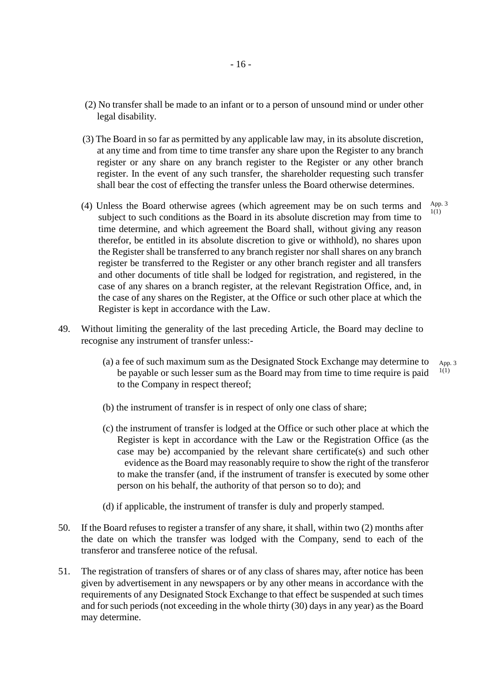- (2) No transfer shall be made to an infant or to a person of unsound mind or under other legal disability.
- (3) The Board in so far as permitted by any applicable law may, in its absolute discretion, at any time and from time to time transfer any share upon the Register to any branch register or any share on any branch register to the Register or any other branch register. In the event of any such transfer, the shareholder requesting such transfer shall bear the cost of effecting the transfer unless the Board otherwise determines.
- (4) Unless the Board otherwise agrees (which agreement may be on such terms and subject to such conditions as the Board in its absolute discretion may from time to time determine, and which agreement the Board shall, without giving any reason therefor, be entitled in its absolute discretion to give or withhold), no shares upon the Register shall be transferred to any branch register nor shall shares on any branch register be transferred to the Register or any other branch register and all transfers and other documents of title shall be lodged for registration, and registered, in the case of any shares on a branch register, at the relevant Registration Office, and, in the case of any shares on the Register, at the Office or such other place at which the Register is kept in accordance with the Law. App. 3  $1(1)$
- 49. Without limiting the generality of the last preceding Article, the Board may decline to recognise any instrument of transfer unless:-
	- (a) a fee of such maximum sum as the Designated Stock Exchange may determine to be payable or such lesser sum as the Board may from time to time require is paid to the Company in respect thereof; App. 3  $1(1)$
	- (b) the instrument of transfer is in respect of only one class of share;
	- (c) the instrument of transfer is lodged at the Office or such other place at which the Register is kept in accordance with the Law or the Registration Office (as the case may be) accompanied by the relevant share certificate(s) and such other evidence as the Board may reasonably require to show the right of the transferor to make the transfer (and, if the instrument of transfer is executed by some other person on his behalf, the authority of that person so to do); and
	- (d) if applicable, the instrument of transfer is duly and properly stamped.
- 50. If the Board refuses to register a transfer of any share, it shall, within two (2) months after the date on which the transfer was lodged with the Company, send to each of the transferor and transferee notice of the refusal.
- 51. The registration of transfers of shares or of any class of shares may, after notice has been given by advertisement in any newspapers or by any other means in accordance with the requirements of any Designated Stock Exchange to that effect be suspended at such times and for such periods (not exceeding in the whole thirty (30) days in any year) as the Board may determine.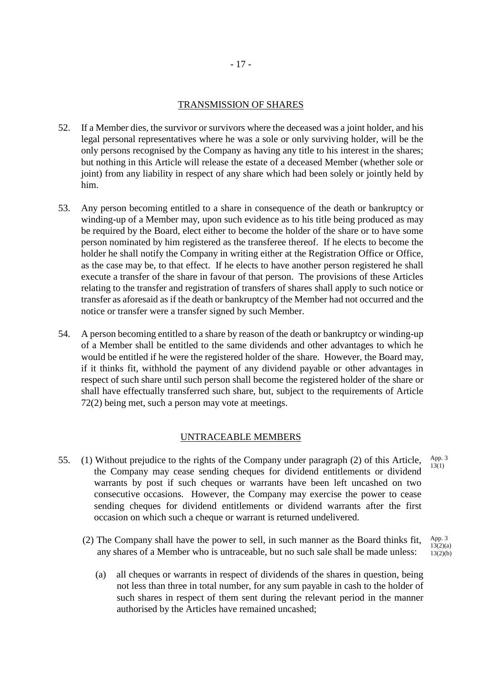## TRANSMISSION OF SHARES

- 52. If a Member dies, the survivor or survivors where the deceased was a joint holder, and his legal personal representatives where he was a sole or only surviving holder, will be the only persons recognised by the Company as having any title to his interest in the shares; but nothing in this Article will release the estate of a deceased Member (whether sole or joint) from any liability in respect of any share which had been solely or jointly held by him.
- 53. Any person becoming entitled to a share in consequence of the death or bankruptcy or winding-up of a Member may, upon such evidence as to his title being produced as may be required by the Board, elect either to become the holder of the share or to have some person nominated by him registered as the transferee thereof. If he elects to become the holder he shall notify the Company in writing either at the Registration Office or Office, as the case may be, to that effect. If he elects to have another person registered he shall execute a transfer of the share in favour of that person. The provisions of these Articles relating to the transfer and registration of transfers of shares shall apply to such notice or transfer as aforesaid as if the death or bankruptcy of the Member had not occurred and the notice or transfer were a transfer signed by such Member.
- 54. A person becoming entitled to a share by reason of the death or bankruptcy or winding-up of a Member shall be entitled to the same dividends and other advantages to which he would be entitled if he were the registered holder of the share. However, the Board may, if it thinks fit, withhold the payment of any dividend payable or other advantages in respect of such share until such person shall become the registered holder of the share or shall have effectually transferred such share, but, subject to the requirements of Article 72(2) being met, such a person may vote at meetings.

## UNTRACEABLE MEMBERS

- 55. (1) Without prejudice to the rights of the Company under paragraph (2) of this Article, the Company may cease sending cheques for dividend entitlements or dividend warrants by post if such cheques or warrants have been left uncashed on two consecutive occasions. However, the Company may exercise the power to cease sending cheques for dividend entitlements or dividend warrants after the first occasion on which such a cheque or warrant is returned undelivered.
	- (2) The Company shall have the power to sell, in such manner as the Board thinks fit, any shares of a Member who is untraceable, but no such sale shall be made unless: App. 3 13(2)(a)  $13(2)(b)$ 
		- (a) all cheques or warrants in respect of dividends of the shares in question, being not less than three in total number, for any sum payable in cash to the holder of such shares in respect of them sent during the relevant period in the manner authorised by the Articles have remained uncashed;

App. 3  $13(1)$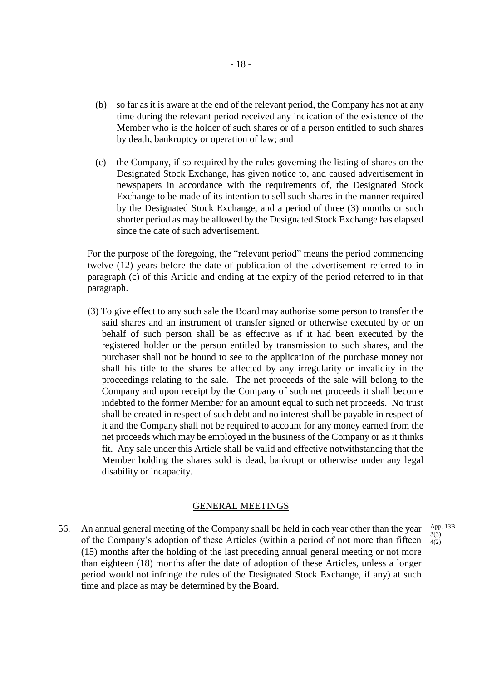- (b) so far as it is aware at the end of the relevant period, the Company has not at any time during the relevant period received any indication of the existence of the Member who is the holder of such shares or of a person entitled to such shares by death, bankruptcy or operation of law; and
- (c) the Company, if so required by the rules governing the listing of shares on the Designated Stock Exchange, has given notice to, and caused advertisement in newspapers in accordance with the requirements of, the Designated Stock Exchange to be made of its intention to sell such shares in the manner required by the Designated Stock Exchange, and a period of three (3) months or such shorter period as may be allowed by the Designated Stock Exchange has elapsed since the date of such advertisement.

For the purpose of the foregoing, the "relevant period" means the period commencing twelve (12) years before the date of publication of the advertisement referred to in paragraph (c) of this Article and ending at the expiry of the period referred to in that paragraph.

(3) To give effect to any such sale the Board may authorise some person to transfer the said shares and an instrument of transfer signed or otherwise executed by or on behalf of such person shall be as effective as if it had been executed by the registered holder or the person entitled by transmission to such shares, and the purchaser shall not be bound to see to the application of the purchase money nor shall his title to the shares be affected by any irregularity or invalidity in the proceedings relating to the sale. The net proceeds of the sale will belong to the Company and upon receipt by the Company of such net proceeds it shall become indebted to the former Member for an amount equal to such net proceeds. No trust shall be created in respect of such debt and no interest shall be payable in respect of it and the Company shall not be required to account for any money earned from the net proceeds which may be employed in the business of the Company or as it thinks fit. Any sale under this Article shall be valid and effective notwithstanding that the Member holding the shares sold is dead, bankrupt or otherwise under any legal disability or incapacity.

#### GENERAL MEETINGS

56. An annual general meeting of the Company shall be held in each year other than the year of the Company's adoption of these Articles (within a period of not more than fifteen (15) months after the holding of the last preceding annual general meeting or not more than eighteen (18) months after the date of adoption of these Articles, unless a longer period would not infringe the rules of the Designated Stock Exchange, if any) at such time and place as may be determined by the Board.

App. 13B 3(3) 4(2)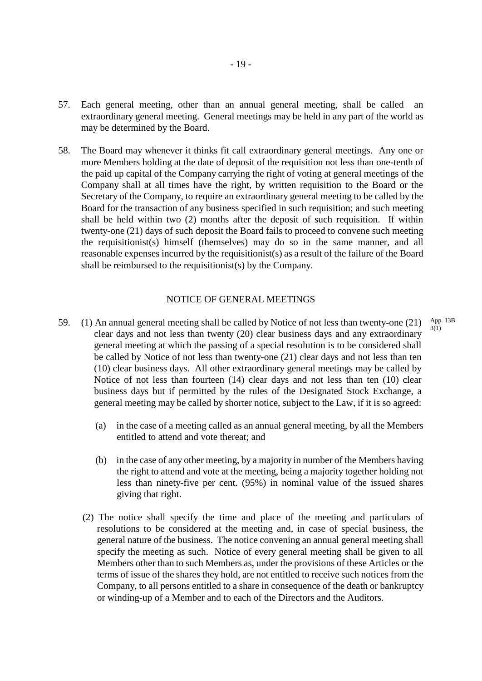- 57. Each general meeting, other than an annual general meeting, shall be called an extraordinary general meeting. General meetings may be held in any part of the world as may be determined by the Board.
- 58. The Board may whenever it thinks fit call extraordinary general meetings. Any one or more Members holding at the date of deposit of the requisition not less than one-tenth of the paid up capital of the Company carrying the right of voting at general meetings of the Company shall at all times have the right, by written requisition to the Board or the Secretary of the Company, to require an extraordinary general meeting to be called by the Board for the transaction of any business specified in such requisition; and such meeting shall be held within two (2) months after the deposit of such requisition. If within twenty-one (21) days of such deposit the Board fails to proceed to convene such meeting the requisitionist(s) himself (themselves) may do so in the same manner, and all reasonable expenses incurred by the requisitionist(s) as a result of the failure of the Board shall be reimbursed to the requisitionist(s) by the Company.

#### NOTICE OF GENERAL MEETINGS

- 59. (1) An annual general meeting shall be called by Notice of not less than twenty-one (21) clear days and not less than twenty (20) clear business days and any extraordinary general meeting at which the passing of a special resolution is to be considered shall be called by Notice of not less than twenty-one (21) clear days and not less than ten (10) clear business days. All other extraordinary general meetings may be called by Notice of not less than fourteen (14) clear days and not less than ten (10) clear business days but if permitted by the rules of the Designated Stock Exchange, a general meeting may be called by shorter notice, subject to the Law, if it is so agreed: App. 13B 3(1)
	- (a) in the case of a meeting called as an annual general meeting, by all the Members entitled to attend and vote thereat; and
	- (b) in the case of any other meeting, by a majority in number of the Members having the right to attend and vote at the meeting, being a majority together holding not less than ninety-five per cent. (95%) in nominal value of the issued shares giving that right.
	- (2) The notice shall specify the time and place of the meeting and particulars of resolutions to be considered at the meeting and, in case of special business, the general nature of the business. The notice convening an annual general meeting shall specify the meeting as such. Notice of every general meeting shall be given to all Members other than to such Members as, under the provisions of these Articles or the terms of issue of the shares they hold, are not entitled to receive such notices from the Company, to all persons entitled to a share in consequence of the death or bankruptcy or winding-up of a Member and to each of the Directors and the Auditors.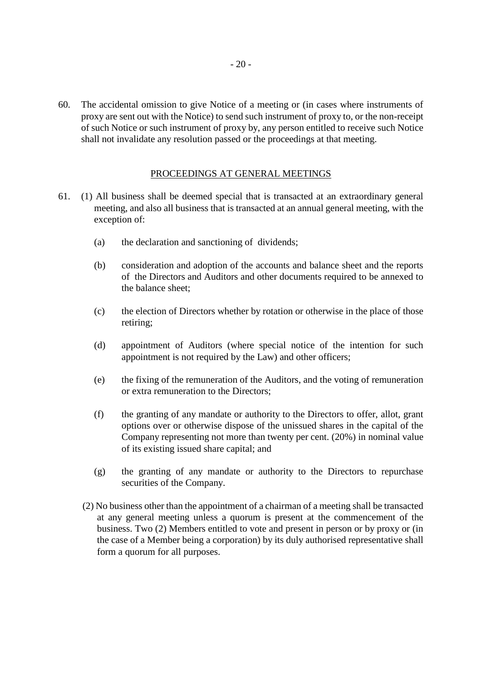60. The accidental omission to give Notice of a meeting or (in cases where instruments of proxy are sent out with the Notice) to send such instrument of proxy to, or the non-receipt of such Notice or such instrument of proxy by, any person entitled to receive such Notice shall not invalidate any resolution passed or the proceedings at that meeting.

## PROCEEDINGS AT GENERAL MEETINGS

- 61. (1) All business shall be deemed special that is transacted at an extraordinary general meeting, and also all business that is transacted at an annual general meeting, with the exception of:
	- (a) the declaration and sanctioning of dividends;
	- (b) consideration and adoption of the accounts and balance sheet and the reports of the Directors and Auditors and other documents required to be annexed to the balance sheet;
	- (c) the election of Directors whether by rotation or otherwise in the place of those retiring;
	- (d) appointment of Auditors (where special notice of the intention for such appointment is not required by the Law) and other officers;
	- (e) the fixing of the remuneration of the Auditors, and the voting of remuneration or extra remuneration to the Directors;
	- (f) the granting of any mandate or authority to the Directors to offer, allot, grant options over or otherwise dispose of the unissued shares in the capital of the Company representing not more than twenty per cent. (20%) in nominal value of its existing issued share capital; and
	- (g) the granting of any mandate or authority to the Directors to repurchase securities of the Company.
	- (2) No business other than the appointment of a chairman of a meeting shall be transacted at any general meeting unless a quorum is present at the commencement of the business. Two (2) Members entitled to vote and present in person or by proxy or (in the case of a Member being a corporation) by its duly authorised representative shall form a quorum for all purposes.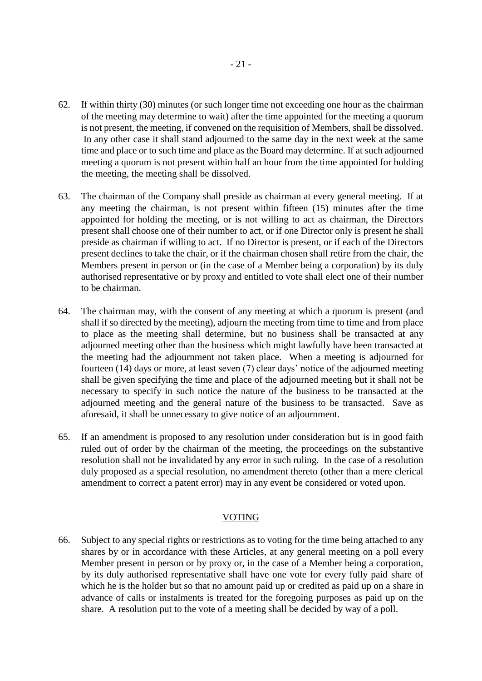- 62. If within thirty (30) minutes (or such longer time not exceeding one hour as the chairman of the meeting may determine to wait) after the time appointed for the meeting a quorum is not present, the meeting, if convened on the requisition of Members, shall be dissolved. In any other case it shall stand adjourned to the same day in the next week at the same time and place or to such time and place as the Board may determine. If at such adjourned meeting a quorum is not present within half an hour from the time appointed for holding the meeting, the meeting shall be dissolved.
- 63. The chairman of the Company shall preside as chairman at every general meeting. If at any meeting the chairman, is not present within fifteen (15) minutes after the time appointed for holding the meeting, or is not willing to act as chairman, the Directors present shall choose one of their number to act, or if one Director only is present he shall preside as chairman if willing to act. If no Director is present, or if each of the Directors present declines to take the chair, or if the chairman chosen shall retire from the chair, the Members present in person or (in the case of a Member being a corporation) by its duly authorised representative or by proxy and entitled to vote shall elect one of their number to be chairman.
- 64. The chairman may, with the consent of any meeting at which a quorum is present (and shall if so directed by the meeting), adjourn the meeting from time to time and from place to place as the meeting shall determine, but no business shall be transacted at any adjourned meeting other than the business which might lawfully have been transacted at the meeting had the adjournment not taken place. When a meeting is adjourned for fourteen (14) days or more, at least seven (7) clear days' notice of the adjourned meeting shall be given specifying the time and place of the adjourned meeting but it shall not be necessary to specify in such notice the nature of the business to be transacted at the adjourned meeting and the general nature of the business to be transacted. Save as aforesaid, it shall be unnecessary to give notice of an adjournment.
- 65. If an amendment is proposed to any resolution under consideration but is in good faith ruled out of order by the chairman of the meeting, the proceedings on the substantive resolution shall not be invalidated by any error in such ruling. In the case of a resolution duly proposed as a special resolution, no amendment thereto (other than a mere clerical amendment to correct a patent error) may in any event be considered or voted upon.

## VOTING

66. Subject to any special rights or restrictions as to voting for the time being attached to any shares by or in accordance with these Articles, at any general meeting on a poll every Member present in person or by proxy or, in the case of a Member being a corporation, by its duly authorised representative shall have one vote for every fully paid share of which he is the holder but so that no amount paid up or credited as paid up on a share in advance of calls or instalments is treated for the foregoing purposes as paid up on the share. A resolution put to the vote of a meeting shall be decided by way of a poll.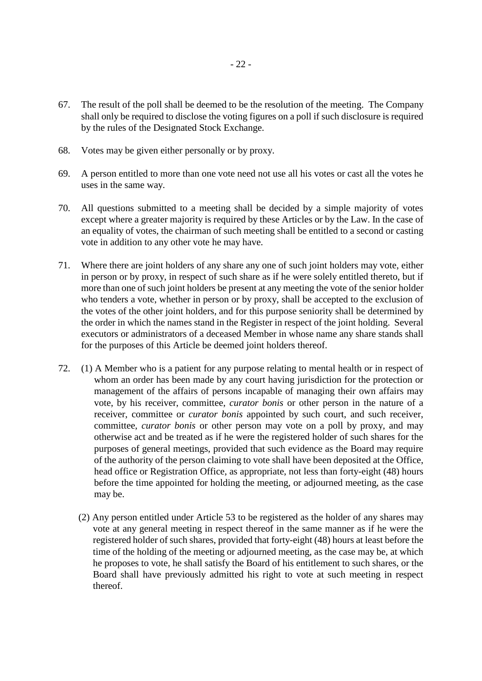- 67. The result of the poll shall be deemed to be the resolution of the meeting. The Company shall only be required to disclose the voting figures on a poll if such disclosure is required by the rules of the Designated Stock Exchange.
- 68. Votes may be given either personally or by proxy.
- 69. A person entitled to more than one vote need not use all his votes or cast all the votes he uses in the same way.
- 70. All questions submitted to a meeting shall be decided by a simple majority of votes except where a greater majority is required by these Articles or by the Law. In the case of an equality of votes, the chairman of such meeting shall be entitled to a second or casting vote in addition to any other vote he may have.
- 71. Where there are joint holders of any share any one of such joint holders may vote, either in person or by proxy, in respect of such share as if he were solely entitled thereto, but if more than one of such joint holders be present at any meeting the vote of the senior holder who tenders a vote, whether in person or by proxy, shall be accepted to the exclusion of the votes of the other joint holders, and for this purpose seniority shall be determined by the order in which the names stand in the Register in respect of the joint holding. Several executors or administrators of a deceased Member in whose name any share stands shall for the purposes of this Article be deemed joint holders thereof.
- 72. (1) A Member who is a patient for any purpose relating to mental health or in respect of whom an order has been made by any court having jurisdiction for the protection or management of the affairs of persons incapable of managing their own affairs may vote, by his receiver, committee, *curator bonis* or other person in the nature of a receiver, committee or *curator bonis* appointed by such court, and such receiver, committee, *curator bonis* or other person may vote on a poll by proxy, and may otherwise act and be treated as if he were the registered holder of such shares for the purposes of general meetings, provided that such evidence as the Board may require of the authority of the person claiming to vote shall have been deposited at the Office, head office or Registration Office, as appropriate, not less than forty-eight (48) hours before the time appointed for holding the meeting, or adjourned meeting, as the case may be.
	- (2) Any person entitled under Article 53 to be registered as the holder of any shares may vote at any general meeting in respect thereof in the same manner as if he were the registered holder of such shares, provided that forty-eight (48) hours at least before the time of the holding of the meeting or adjourned meeting, as the case may be, at which he proposes to vote, he shall satisfy the Board of his entitlement to such shares, or the Board shall have previously admitted his right to vote at such meeting in respect thereof.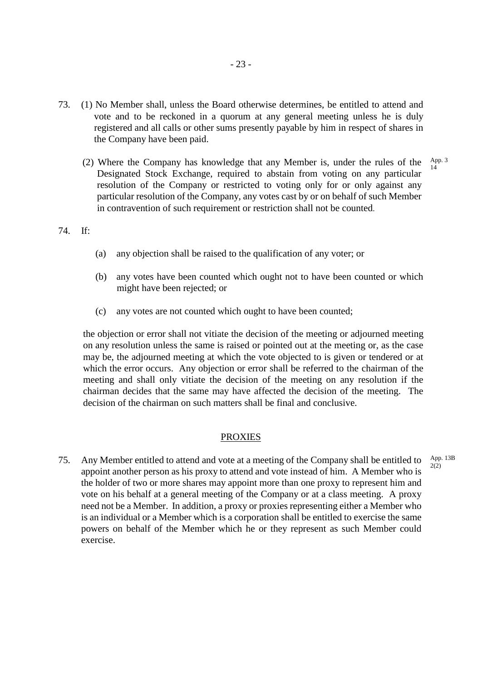- 73. (1) No Member shall, unless the Board otherwise determines, be entitled to attend and vote and to be reckoned in a quorum at any general meeting unless he is duly registered and all calls or other sums presently payable by him in respect of shares in the Company have been paid.
	- (2) Where the Company has knowledge that any Member is, under the rules of the Designated Stock Exchange, required to abstain from voting on any particular resolution of the Company or restricted to voting only for or only against any particular resolution of the Company, any votes cast by or on behalf of such Member in contravention of such requirement or restriction shall not be counted. App. 3 14

#### 74. If:

- (a) any objection shall be raised to the qualification of any voter; or
- (b) any votes have been counted which ought not to have been counted or which might have been rejected; or
- (c) any votes are not counted which ought to have been counted;

the objection or error shall not vitiate the decision of the meeting or adjourned meeting on any resolution unless the same is raised or pointed out at the meeting or, as the case may be, the adjourned meeting at which the vote objected to is given or tendered or at which the error occurs. Any objection or error shall be referred to the chairman of the meeting and shall only vitiate the decision of the meeting on any resolution if the chairman decides that the same may have affected the decision of the meeting. The decision of the chairman on such matters shall be final and conclusive.

#### PROXIES

75. Any Member entitled to attend and vote at a meeting of the Company shall be entitled to appoint another person as his proxy to attend and vote instead of him. A Member who is the holder of two or more shares may appoint more than one proxy to represent him and vote on his behalf at a general meeting of the Company or at a class meeting. A proxy need not be a Member. In addition, a proxy or proxies representing either a Member who is an individual or a Member which is a corporation shall be entitled to exercise the same powers on behalf of the Member which he or they represent as such Member could exercise.  $2(2)$ 

App. 13B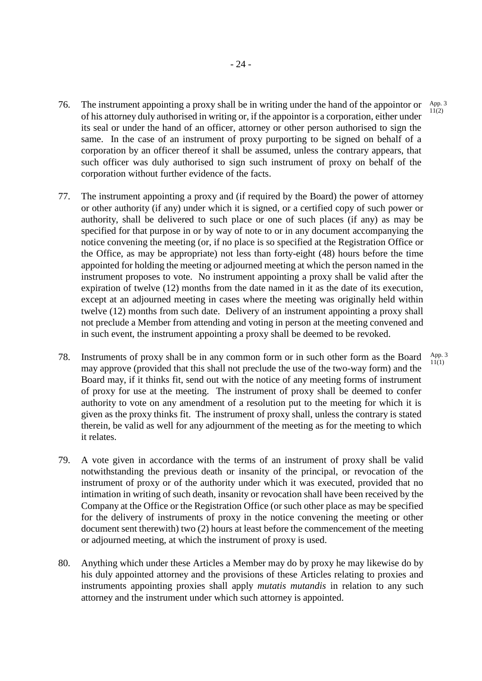- 76. The instrument appointing a proxy shall be in writing under the hand of the appointor or of his attorney duly authorised in writing or, if the appointor is a corporation, either under its seal or under the hand of an officer, attorney or other person authorised to sign the same. In the case of an instrument of proxy purporting to be signed on behalf of a corporation by an officer thereof it shall be assumed, unless the contrary appears, that such officer was duly authorised to sign such instrument of proxy on behalf of the corporation without further evidence of the facts. App. 3  $11(2)$
- 77. The instrument appointing a proxy and (if required by the Board) the power of attorney or other authority (if any) under which it is signed, or a certified copy of such power or authority, shall be delivered to such place or one of such places (if any) as may be specified for that purpose in or by way of note to or in any document accompanying the notice convening the meeting (or, if no place is so specified at the Registration Office or the Office, as may be appropriate) not less than forty-eight (48) hours before the time appointed for holding the meeting or adjourned meeting at which the person named in the instrument proposes to vote. No instrument appointing a proxy shall be valid after the expiration of twelve (12) months from the date named in it as the date of its execution, except at an adjourned meeting in cases where the meeting was originally held within twelve (12) months from such date. Delivery of an instrument appointing a proxy shall not preclude a Member from attending and voting in person at the meeting convened and in such event, the instrument appointing a proxy shall be deemed to be revoked.
- 78. Instruments of proxy shall be in any common form or in such other form as the Board may approve (provided that this shall not preclude the use of the two-way form) and the Board may, if it thinks fit, send out with the notice of any meeting forms of instrument of proxy for use at the meeting. The instrument of proxy shall be deemed to confer authority to vote on any amendment of a resolution put to the meeting for which it is given as the proxy thinks fit. The instrument of proxy shall, unless the contrary is stated therein, be valid as well for any adjournment of the meeting as for the meeting to which it relates. App. 3 11(1)
- 79. A vote given in accordance with the terms of an instrument of proxy shall be valid notwithstanding the previous death or insanity of the principal, or revocation of the instrument of proxy or of the authority under which it was executed, provided that no intimation in writing of such death, insanity or revocation shall have been received by the Company at the Office or the Registration Office (or such other place as may be specified for the delivery of instruments of proxy in the notice convening the meeting or other document sent therewith) two (2) hours at least before the commencement of the meeting or adjourned meeting, at which the instrument of proxy is used.
- 80. Anything which under these Articles a Member may do by proxy he may likewise do by his duly appointed attorney and the provisions of these Articles relating to proxies and instruments appointing proxies shall apply *mutatis mutandis* in relation to any such attorney and the instrument under which such attorney is appointed.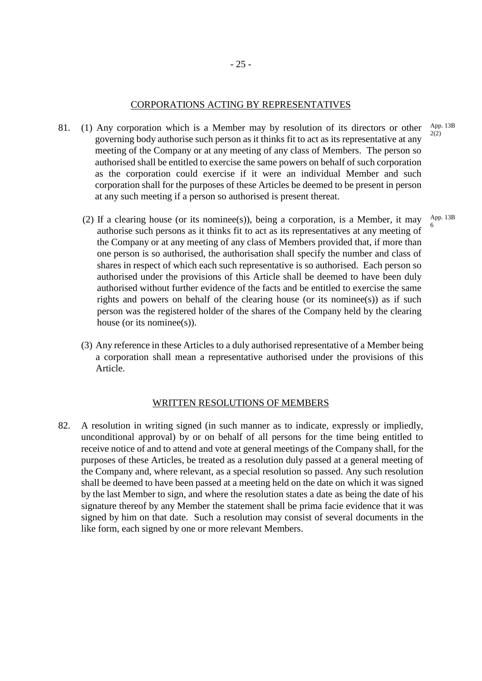#### CORPORATIONS ACTING BY REPRESENTATIVES

- 81. (1) Any corporation which is a Member may by resolution of its directors or other governing body authorise such person as it thinks fit to act as its representative at any meeting of the Company or at any meeting of any class of Members. The person so authorised shall be entitled to exercise the same powers on behalf of such corporation as the corporation could exercise if it were an individual Member and such corporation shall for the purposes of these Articles be deemed to be present in person at any such meeting if a person so authorised is present thereat. App. 13B
	- (2) If a clearing house (or its nominee(s)), being a corporation, is a Member, it may authorise such persons as it thinks fit to act as its representatives at any meeting of the Company or at any meeting of any class of Members provided that, if more than one person is so authorised, the authorisation shall specify the number and class of shares in respect of which each such representative is so authorised. Each person so authorised under the provisions of this Article shall be deemed to have been duly authorised without further evidence of the facts and be entitled to exercise the same rights and powers on behalf of the clearing house (or its nominee(s)) as if such person was the registered holder of the shares of the Company held by the clearing house (or its nominee(s)).
	- (3) Any reference in these Articles to a duly authorised representative of a Member being a corporation shall mean a representative authorised under the provisions of this Article.

### WRITTEN RESOLUTIONS OF MEMBERS

82. A resolution in writing signed (in such manner as to indicate, expressly or impliedly, unconditional approval) by or on behalf of all persons for the time being entitled to receive notice of and to attend and vote at general meetings of the Company shall, for the purposes of these Articles, be treated as a resolution duly passed at a general meeting of the Company and, where relevant, as a special resolution so passed. Any such resolution shall be deemed to have been passed at a meeting held on the date on which it was signed by the last Member to sign, and where the resolution states a date as being the date of his signature thereof by any Member the statement shall be prima facie evidence that it was signed by him on that date. Such a resolution may consist of several documents in the like form, each signed by one or more relevant Members.

App. 13B 6

2(2)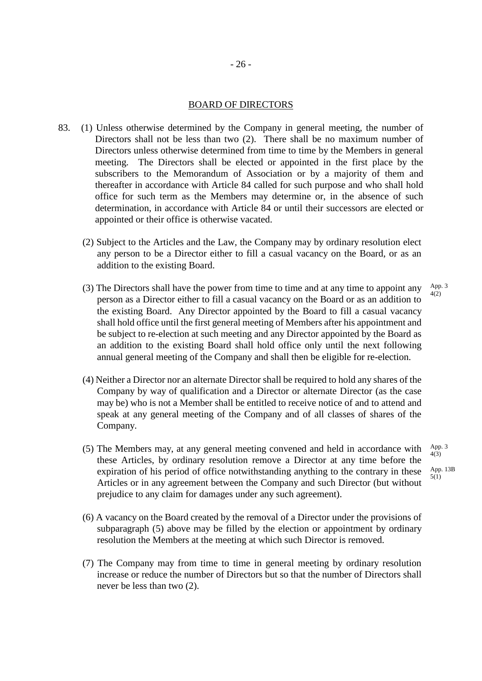#### BOARD OF DIRECTORS

- 83. (1) Unless otherwise determined by the Company in general meeting, the number of Directors shall not be less than two (2). There shall be no maximum number of Directors unless otherwise determined from time to time by the Members in general meeting. The Directors shall be elected or appointed in the first place by the subscribers to the Memorandum of Association or by a majority of them and thereafter in accordance with Article 84 called for such purpose and who shall hold office for such term as the Members may determine or, in the absence of such determination, in accordance with Article 84 or until their successors are elected or appointed or their office is otherwise vacated.
	- (2) Subject to the Articles and the Law, the Company may by ordinary resolution elect any person to be a Director either to fill a casual vacancy on the Board, or as an addition to the existing Board.
	- (3) The Directors shall have the power from time to time and at any time to appoint any person as a Director either to fill a casual vacancy on the Board or as an addition to the existing Board. Any Director appointed by the Board to fill a casual vacancy shall hold office until the first general meeting of Members after his appointment and be subject to re-election at such meeting and any Director appointed by the Board as an addition to the existing Board shall hold office only until the next following annual general meeting of the Company and shall then be eligible for re-election. App. 3 4(2)
	- (4) Neither a Director nor an alternate Director shall be required to hold any shares of the Company by way of qualification and a Director or alternate Director (as the case may be) who is not a Member shall be entitled to receive notice of and to attend and speak at any general meeting of the Company and of all classes of shares of the Company.
	- (5) The Members may, at any general meeting convened and held in accordance with these Articles, by ordinary resolution remove a Director at any time before the expiration of his period of office notwithstanding anything to the contrary in these Articles or in any agreement between the Company and such Director (but without prejudice to any claim for damages under any such agreement).
	- (6) A vacancy on the Board created by the removal of a Director under the provisions of subparagraph (5) above may be filled by the election or appointment by ordinary resolution the Members at the meeting at which such Director is removed.
	- (7) The Company may from time to time in general meeting by ordinary resolution increase or reduce the number of Directors but so that the number of Directors shall never be less than two (2).

App. 3  $4(3)$ App. 13B 5(1)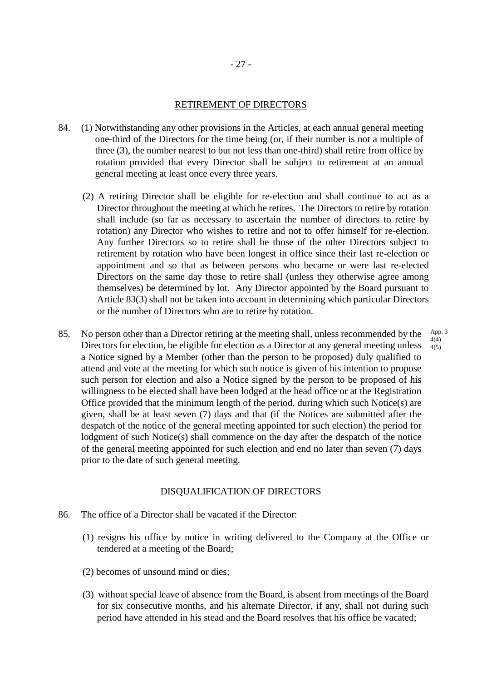#### RETIREMENT OF DIRECTORS

- 84. (1) Notwithstanding any other provisions in the Articles, at each annual general meeting one-third of the Directors for the time being (or, if their number is not a multiple of three (3), the number nearest to but not less than one-third) shall retire from office by rotation provided that every Director shall be subject to retirement at an annual general meeting at least once every three years.
	- (2) A retiring Director shall be eligible for re-election and shall continue to act as a Director throughout the meeting at which he retires. The Directors to retire by rotation shall include (so far as necessary to ascertain the number of directors to retire by rotation) any Director who wishes to retire and not to offer himself for re-election. Any further Directors so to retire shall be those of the other Directors subject to retirement by rotation who have been longest in office since their last re-election or appointment and so that as between persons who became or were last re-elected Directors on the same day those to retire shall (unless they otherwise agree among themselves) be determined by lot. Any Director appointed by the Board pursuant to Article 83(3) shall not be taken into account in determining which particular Directors or the number of Directors who are to retire by rotation.

App. 3 4(4) 4(5)

85. No person other than a Director retiring at the meeting shall, unless recommended by the Directors for election, be eligible for election as a Director at any general meeting unless a Notice signed by a Member (other than the person to be proposed) duly qualified to attend and vote at the meeting for which such notice is given of his intention to propose such person for election and also a Notice signed by the person to be proposed of his willingness to be elected shall have been lodged at the head office or at the Registration Office provided that the minimum length of the period, during which such Notice(s) are given, shall be at least seven (7) days and that (if the Notices are submitted after the despatch of the notice of the general meeting appointed for such election) the period for lodgment of such Notice(s) shall commence on the day after the despatch of the notice of the general meeting appointed for such election and end no later than seven (7) days prior to the date of such general meeting.

#### DISQUALIFICATION OF DIRECTORS

- 86. The office of a Director shall be vacated if the Director:
	- (1) resigns his office by notice in writing delivered to the Company at the Office or tendered at a meeting of the Board;
	- (2) becomes of unsound mind or dies;
	- (3) without special leave of absence from the Board, is absent from meetings of the Board for six consecutive months, and his alternate Director, if any, shall not during such period have attended in his stead and the Board resolves that his office be vacated;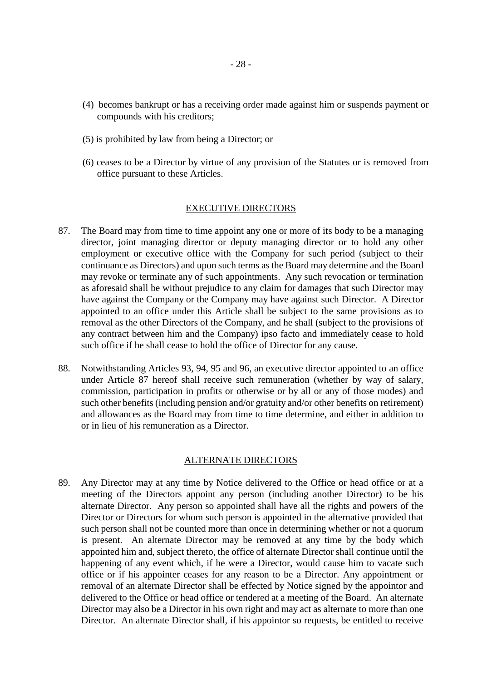- (4) becomes bankrupt or has a receiving order made against him or suspends payment or compounds with his creditors;
- (5) is prohibited by law from being a Director; or
- (6) ceases to be a Director by virtue of any provision of the Statutes or is removed from office pursuant to these Articles.

#### EXECUTIVE DIRECTORS

- 87. The Board may from time to time appoint any one or more of its body to be a managing director, joint managing director or deputy managing director or to hold any other employment or executive office with the Company for such period (subject to their continuance as Directors) and upon such terms as the Board may determine and the Board may revoke or terminate any of such appointments. Any such revocation or termination as aforesaid shall be without prejudice to any claim for damages that such Director may have against the Company or the Company may have against such Director. A Director appointed to an office under this Article shall be subject to the same provisions as to removal as the other Directors of the Company, and he shall (subject to the provisions of any contract between him and the Company) ipso facto and immediately cease to hold such office if he shall cease to hold the office of Director for any cause.
- 88. Notwithstanding Articles 93, 94, 95 and 96, an executive director appointed to an office under Article 87 hereof shall receive such remuneration (whether by way of salary, commission, participation in profits or otherwise or by all or any of those modes) and such other benefits (including pension and/or gratuity and/or other benefits on retirement) and allowances as the Board may from time to time determine, and either in addition to or in lieu of his remuneration as a Director.

### ALTERNATE DIRECTORS

89. Any Director may at any time by Notice delivered to the Office or head office or at a meeting of the Directors appoint any person (including another Director) to be his alternate Director. Any person so appointed shall have all the rights and powers of the Director or Directors for whom such person is appointed in the alternative provided that such person shall not be counted more than once in determining whether or not a quorum is present. An alternate Director may be removed at any time by the body which appointed him and, subject thereto, the office of alternate Director shall continue until the happening of any event which, if he were a Director, would cause him to vacate such office or if his appointer ceases for any reason to be a Director. Any appointment or removal of an alternate Director shall be effected by Notice signed by the appointor and delivered to the Office or head office or tendered at a meeting of the Board. An alternate Director may also be a Director in his own right and may act as alternate to more than one Director. An alternate Director shall, if his appointor so requests, be entitled to receive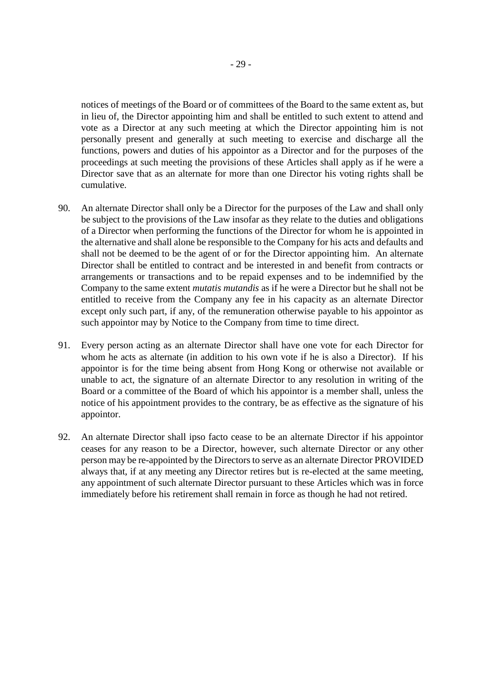notices of meetings of the Board or of committees of the Board to the same extent as, but in lieu of, the Director appointing him and shall be entitled to such extent to attend and vote as a Director at any such meeting at which the Director appointing him is not personally present and generally at such meeting to exercise and discharge all the functions, powers and duties of his appointor as a Director and for the purposes of the proceedings at such meeting the provisions of these Articles shall apply as if he were a Director save that as an alternate for more than one Director his voting rights shall be cumulative.

- 90. An alternate Director shall only be a Director for the purposes of the Law and shall only be subject to the provisions of the Law insofar as they relate to the duties and obligations of a Director when performing the functions of the Director for whom he is appointed in the alternative and shall alone be responsible to the Company for his acts and defaults and shall not be deemed to be the agent of or for the Director appointing him. An alternate Director shall be entitled to contract and be interested in and benefit from contracts or arrangements or transactions and to be repaid expenses and to be indemnified by the Company to the same extent *mutatis mutandis* as if he were a Director but he shall not be entitled to receive from the Company any fee in his capacity as an alternate Director except only such part, if any, of the remuneration otherwise payable to his appointor as such appointor may by Notice to the Company from time to time direct.
- 91. Every person acting as an alternate Director shall have one vote for each Director for whom he acts as alternate (in addition to his own vote if he is also a Director). If his appointor is for the time being absent from Hong Kong or otherwise not available or unable to act, the signature of an alternate Director to any resolution in writing of the Board or a committee of the Board of which his appointor is a member shall, unless the notice of his appointment provides to the contrary, be as effective as the signature of his appointor.
- 92. An alternate Director shall ipso facto cease to be an alternate Director if his appointor ceases for any reason to be a Director, however, such alternate Director or any other person may be re-appointed by the Directors to serve as an alternate Director PROVIDED always that, if at any meeting any Director retires but is re-elected at the same meeting, any appointment of such alternate Director pursuant to these Articles which was in force immediately before his retirement shall remain in force as though he had not retired.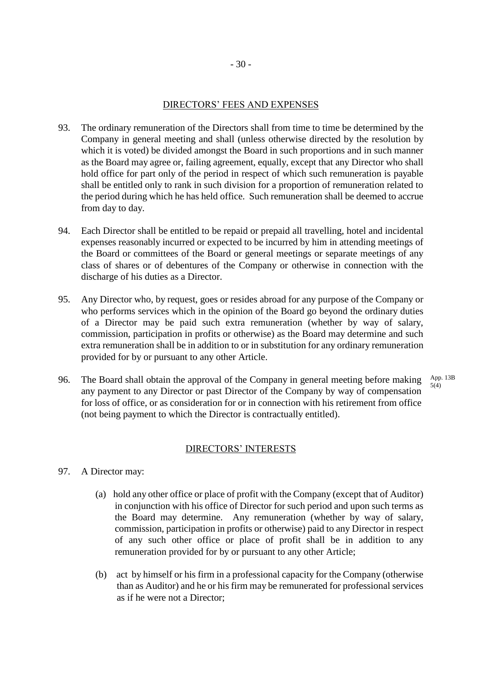# DIRECTORS' FEES AND EXPENSES

- 93. The ordinary remuneration of the Directors shall from time to time be determined by the Company in general meeting and shall (unless otherwise directed by the resolution by which it is voted) be divided amongst the Board in such proportions and in such manner as the Board may agree or, failing agreement, equally, except that any Director who shall hold office for part only of the period in respect of which such remuneration is payable shall be entitled only to rank in such division for a proportion of remuneration related to the period during which he has held office. Such remuneration shall be deemed to accrue from day to day.
- 94. Each Director shall be entitled to be repaid or prepaid all travelling, hotel and incidental expenses reasonably incurred or expected to be incurred by him in attending meetings of the Board or committees of the Board or general meetings or separate meetings of any class of shares or of debentures of the Company or otherwise in connection with the discharge of his duties as a Director.
- 95. Any Director who, by request, goes or resides abroad for any purpose of the Company or who performs services which in the opinion of the Board go beyond the ordinary duties of a Director may be paid such extra remuneration (whether by way of salary, commission, participation in profits or otherwise) as the Board may determine and such extra remuneration shall be in addition to or in substitution for any ordinary remuneration provided for by or pursuant to any other Article.
- 96. The Board shall obtain the approval of the Company in general meeting before making any payment to any Director or past Director of the Company by way of compensation for loss of office, or as consideration for or in connection with his retirement from office (not being payment to which the Director is contractually entitled). App. 13B 5(4)

## DIRECTORS' INTERESTS

- 97. A Director may:
	- (a) hold any other office or place of profit with the Company (except that of Auditor) in conjunction with his office of Director for such period and upon such terms as the Board may determine. Any remuneration (whether by way of salary, commission, participation in profits or otherwise) paid to any Director in respect of any such other office or place of profit shall be in addition to any remuneration provided for by or pursuant to any other Article;
	- (b) act by himself or his firm in a professional capacity for the Company (otherwise than as Auditor) and he or his firm may be remunerated for professional services as if he were not a Director;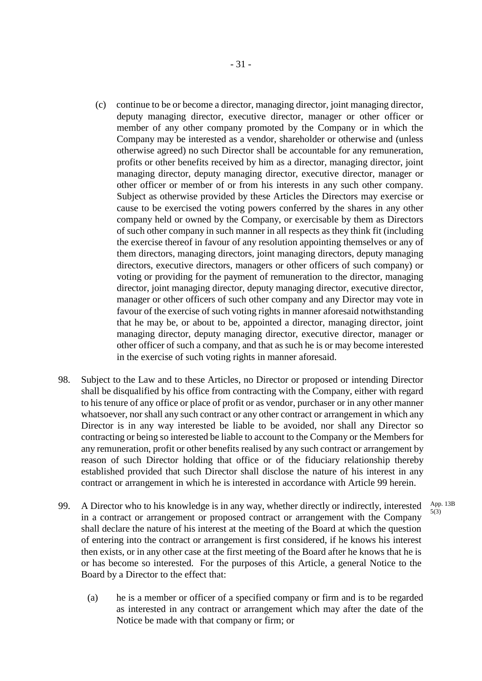- (c) continue to be or become a director, managing director, joint managing director, deputy managing director, executive director, manager or other officer or member of any other company promoted by the Company or in which the Company may be interested as a vendor, shareholder or otherwise and (unless otherwise agreed) no such Director shall be accountable for any remuneration, profits or other benefits received by him as a director, managing director, joint managing director, deputy managing director, executive director, manager or other officer or member of or from his interests in any such other company. Subject as otherwise provided by these Articles the Directors may exercise or cause to be exercised the voting powers conferred by the shares in any other company held or owned by the Company, or exercisable by them as Directors of such other company in such manner in all respects as they think fit (including the exercise thereof in favour of any resolution appointing themselves or any of them directors, managing directors, joint managing directors, deputy managing directors, executive directors, managers or other officers of such company) or voting or providing for the payment of remuneration to the director, managing director, joint managing director, deputy managing director, executive director, manager or other officers of such other company and any Director may vote in favour of the exercise of such voting rights in manner aforesaid notwithstanding that he may be, or about to be, appointed a director, managing director, joint managing director, deputy managing director, executive director, manager or other officer of such a company, and that as such he is or may become interested in the exercise of such voting rights in manner aforesaid.
- 98. Subject to the Law and to these Articles, no Director or proposed or intending Director shall be disqualified by his office from contracting with the Company, either with regard to his tenure of any office or place of profit or as vendor, purchaser or in any other manner whatsoever, nor shall any such contract or any other contract or arrangement in which any Director is in any way interested be liable to be avoided, nor shall any Director so contracting or being so interested be liable to account to the Company or the Members for any remuneration, profit or other benefits realised by any such contract or arrangement by reason of such Director holding that office or of the fiduciary relationship thereby established provided that such Director shall disclose the nature of his interest in any contract or arrangement in which he is interested in accordance with Article 99 herein.
- 99. A Director who to his knowledge is in any way, whether directly or indirectly, interested in a contract or arrangement or proposed contract or arrangement with the Company shall declare the nature of his interest at the meeting of the Board at which the question of entering into the contract or arrangement is first considered, if he knows his interest then exists, or in any other case at the first meeting of the Board after he knows that he is or has become so interested. For the purposes of this Article, a general Notice to the Board by a Director to the effect that: App. 13B 5(3)
	- (a) he is a member or officer of a specified company or firm and is to be regarded as interested in any contract or arrangement which may after the date of the Notice be made with that company or firm; or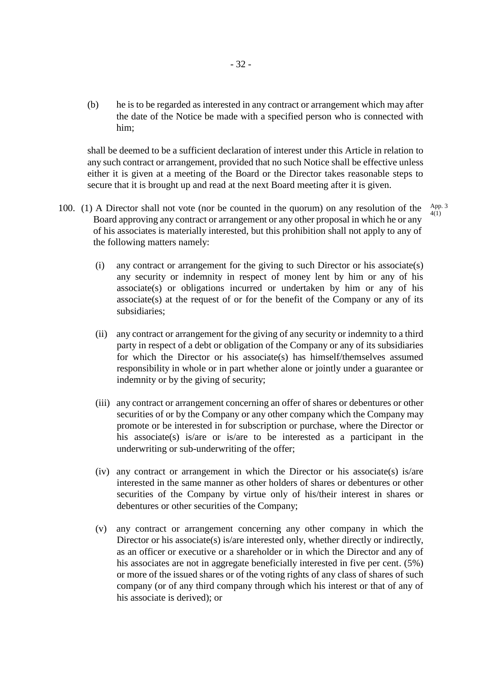(b) he is to be regarded as interested in any contract or arrangement which may after the date of the Notice be made with a specified person who is connected with him;

shall be deemed to be a sufficient declaration of interest under this Article in relation to any such contract or arrangement, provided that no such Notice shall be effective unless either it is given at a meeting of the Board or the Director takes reasonable steps to secure that it is brought up and read at the next Board meeting after it is given.

100. (1) A Director shall not vote (nor be counted in the quorum) on any resolution of the Board approving any contract or arrangement or any other proposal in which he or any of his associates is materially interested, but this prohibition shall not apply to any of the following matters namely:

App. 3 4(1)

- (i) any contract or arrangement for the giving to such Director or his associate(s) any security or indemnity in respect of money lent by him or any of his associate(s) or obligations incurred or undertaken by him or any of his associate(s) at the request of or for the benefit of the Company or any of its subsidiaries;
- (ii) any contract or arrangement for the giving of any security or indemnity to a third party in respect of a debt or obligation of the Company or any of its subsidiaries for which the Director or his associate(s) has himself/themselves assumed responsibility in whole or in part whether alone or jointly under a guarantee or indemnity or by the giving of security;
- (iii) any contract or arrangement concerning an offer of shares or debentures or other securities of or by the Company or any other company which the Company may promote or be interested in for subscription or purchase, where the Director or his associate(s) is/are or is/are to be interested as a participant in the underwriting or sub-underwriting of the offer;
- (iv) any contract or arrangement in which the Director or his associate(s) is/are interested in the same manner as other holders of shares or debentures or other securities of the Company by virtue only of his/their interest in shares or debentures or other securities of the Company;
- (v) any contract or arrangement concerning any other company in which the Director or his associate(s) is/are interested only, whether directly or indirectly, as an officer or executive or a shareholder or in which the Director and any of his associates are not in aggregate beneficially interested in five per cent. (5%) or more of the issued shares or of the voting rights of any class of shares of such company (or of any third company through which his interest or that of any of his associate is derived); or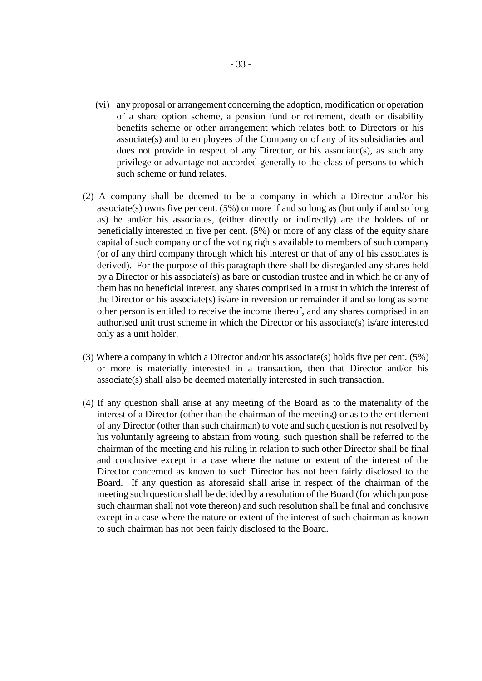- (vi) any proposal or arrangement concerning the adoption, modification or operation of a share option scheme, a pension fund or retirement, death or disability benefits scheme or other arrangement which relates both to Directors or his associate(s) and to employees of the Company or of any of its subsidiaries and does not provide in respect of any Director, or his associate(s), as such any privilege or advantage not accorded generally to the class of persons to which such scheme or fund relates.
- (2) A company shall be deemed to be a company in which a Director and/or his associate(s) owns five per cent. (5%) or more if and so long as (but only if and so long as) he and/or his associates, (either directly or indirectly) are the holders of or beneficially interested in five per cent. (5%) or more of any class of the equity share capital of such company or of the voting rights available to members of such company (or of any third company through which his interest or that of any of his associates is derived). For the purpose of this paragraph there shall be disregarded any shares held by a Director or his associate(s) as bare or custodian trustee and in which he or any of them has no beneficial interest, any shares comprised in a trust in which the interest of the Director or his associate(s) is/are in reversion or remainder if and so long as some other person is entitled to receive the income thereof, and any shares comprised in an authorised unit trust scheme in which the Director or his associate(s) is/are interested only as a unit holder.
- (3) Where a company in which a Director and/or his associate(s) holds five per cent. (5%) or more is materially interested in a transaction, then that Director and/or his associate(s) shall also be deemed materially interested in such transaction.
- (4) If any question shall arise at any meeting of the Board as to the materiality of the interest of a Director (other than the chairman of the meeting) or as to the entitlement of any Director (other than such chairman) to vote and such question is not resolved by his voluntarily agreeing to abstain from voting, such question shall be referred to the chairman of the meeting and his ruling in relation to such other Director shall be final and conclusive except in a case where the nature or extent of the interest of the Director concerned as known to such Director has not been fairly disclosed to the Board. If any question as aforesaid shall arise in respect of the chairman of the meeting such question shall be decided by a resolution of the Board (for which purpose such chairman shall not vote thereon) and such resolution shall be final and conclusive except in a case where the nature or extent of the interest of such chairman as known to such chairman has not been fairly disclosed to the Board.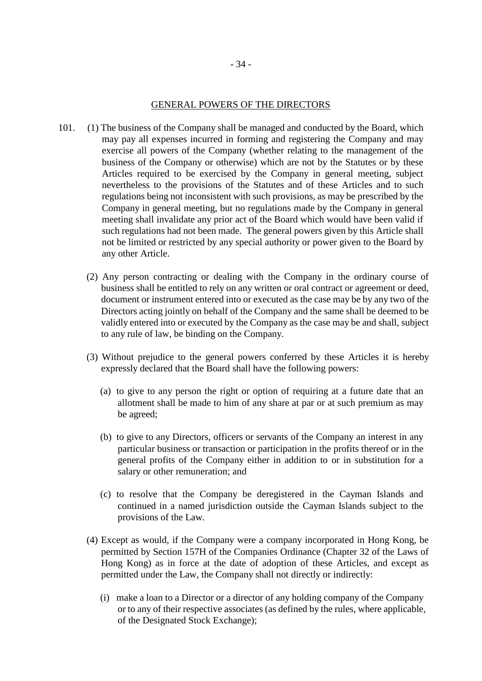#### GENERAL POWERS OF THE DIRECTORS

- 101. (1) The business of the Company shall be managed and conducted by the Board, which may pay all expenses incurred in forming and registering the Company and may exercise all powers of the Company (whether relating to the management of the business of the Company or otherwise) which are not by the Statutes or by these Articles required to be exercised by the Company in general meeting, subject nevertheless to the provisions of the Statutes and of these Articles and to such regulations being not inconsistent with such provisions, as may be prescribed by the Company in general meeting, but no regulations made by the Company in general meeting shall invalidate any prior act of the Board which would have been valid if such regulations had not been made. The general powers given by this Article shall not be limited or restricted by any special authority or power given to the Board by any other Article.
	- (2) Any person contracting or dealing with the Company in the ordinary course of business shall be entitled to rely on any written or oral contract or agreement or deed, document or instrument entered into or executed as the case may be by any two of the Directors acting jointly on behalf of the Company and the same shall be deemed to be validly entered into or executed by the Company as the case may be and shall, subject to any rule of law, be binding on the Company.
	- (3) Without prejudice to the general powers conferred by these Articles it is hereby expressly declared that the Board shall have the following powers:
		- (a) to give to any person the right or option of requiring at a future date that an allotment shall be made to him of any share at par or at such premium as may be agreed;
		- (b) to give to any Directors, officers or servants of the Company an interest in any particular business or transaction or participation in the profits thereof or in the general profits of the Company either in addition to or in substitution for a salary or other remuneration; and
		- (c) to resolve that the Company be deregistered in the Cayman Islands and continued in a named jurisdiction outside the Cayman Islands subject to the provisions of the Law.
	- (4) Except as would, if the Company were a company incorporated in Hong Kong, be permitted by Section 157H of the Companies Ordinance (Chapter 32 of the Laws of Hong Kong) as in force at the date of adoption of these Articles, and except as permitted under the Law, the Company shall not directly or indirectly:
		- (i) make a loan to a Director or a director of any holding company of the Company or to any of their respective associates (as defined by the rules, where applicable, of the Designated Stock Exchange);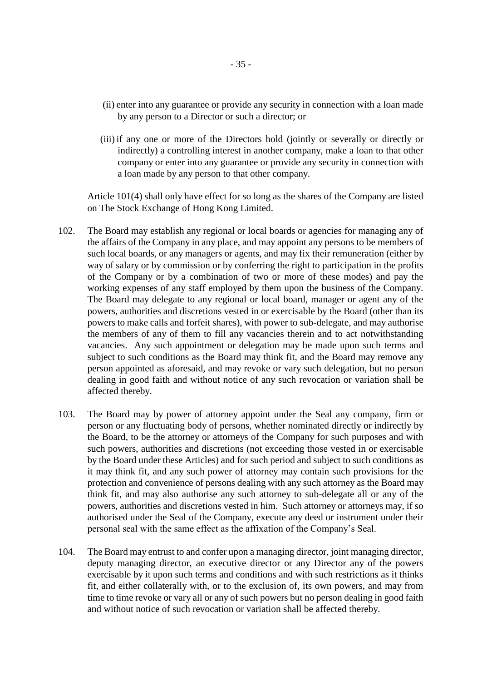- (ii) enter into any guarantee or provide any security in connection with a loan made by any person to a Director or such a director; or
- (iii) if any one or more of the Directors hold (jointly or severally or directly or indirectly) a controlling interest in another company, make a loan to that other company or enter into any guarantee or provide any security in connection with a loan made by any person to that other company.

Article 101(4) shall only have effect for so long as the shares of the Company are listed on The Stock Exchange of Hong Kong Limited.

- 102. The Board may establish any regional or local boards or agencies for managing any of the affairs of the Company in any place, and may appoint any persons to be members of such local boards, or any managers or agents, and may fix their remuneration (either by way of salary or by commission or by conferring the right to participation in the profits of the Company or by a combination of two or more of these modes) and pay the working expenses of any staff employed by them upon the business of the Company. The Board may delegate to any regional or local board, manager or agent any of the powers, authorities and discretions vested in or exercisable by the Board (other than its powers to make calls and forfeit shares), with power to sub-delegate, and may authorise the members of any of them to fill any vacancies therein and to act notwithstanding vacancies. Any such appointment or delegation may be made upon such terms and subject to such conditions as the Board may think fit, and the Board may remove any person appointed as aforesaid, and may revoke or vary such delegation, but no person dealing in good faith and without notice of any such revocation or variation shall be affected thereby.
- 103. The Board may by power of attorney appoint under the Seal any company, firm or person or any fluctuating body of persons, whether nominated directly or indirectly by the Board, to be the attorney or attorneys of the Company for such purposes and with such powers, authorities and discretions (not exceeding those vested in or exercisable by the Board under these Articles) and for such period and subject to such conditions as it may think fit, and any such power of attorney may contain such provisions for the protection and convenience of persons dealing with any such attorney as the Board may think fit, and may also authorise any such attorney to sub-delegate all or any of the powers, authorities and discretions vested in him. Such attorney or attorneys may, if so authorised under the Seal of the Company, execute any deed or instrument under their personal seal with the same effect as the affixation of the Company's Seal.
- 104. The Board may entrust to and confer upon a managing director, joint managing director, deputy managing director, an executive director or any Director any of the powers exercisable by it upon such terms and conditions and with such restrictions as it thinks fit, and either collaterally with, or to the exclusion of, its own powers, and may from time to time revoke or vary all or any of such powers but no person dealing in good faith and without notice of such revocation or variation shall be affected thereby.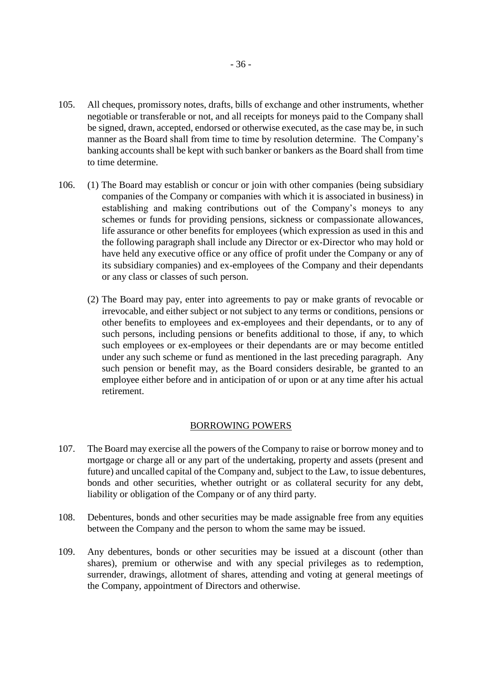- 105. All cheques, promissory notes, drafts, bills of exchange and other instruments, whether negotiable or transferable or not, and all receipts for moneys paid to the Company shall be signed, drawn, accepted, endorsed or otherwise executed, as the case may be, in such manner as the Board shall from time to time by resolution determine. The Company's banking accounts shall be kept with such banker or bankers as the Board shall from time to time determine.
- 106. (1) The Board may establish or concur or join with other companies (being subsidiary companies of the Company or companies with which it is associated in business) in establishing and making contributions out of the Company's moneys to any schemes or funds for providing pensions, sickness or compassionate allowances, life assurance or other benefits for employees (which expression as used in this and the following paragraph shall include any Director or ex-Director who may hold or have held any executive office or any office of profit under the Company or any of its subsidiary companies) and ex-employees of the Company and their dependants or any class or classes of such person.
	- (2) The Board may pay, enter into agreements to pay or make grants of revocable or irrevocable, and either subject or not subject to any terms or conditions, pensions or other benefits to employees and ex-employees and their dependants, or to any of such persons, including pensions or benefits additional to those, if any, to which such employees or ex-employees or their dependants are or may become entitled under any such scheme or fund as mentioned in the last preceding paragraph. Any such pension or benefit may, as the Board considers desirable, be granted to an employee either before and in anticipation of or upon or at any time after his actual retirement.

#### BORROWING POWERS

- 107. The Board may exercise all the powers of the Company to raise or borrow money and to mortgage or charge all or any part of the undertaking, property and assets (present and future) and uncalled capital of the Company and, subject to the Law, to issue debentures, bonds and other securities, whether outright or as collateral security for any debt, liability or obligation of the Company or of any third party.
- 108. Debentures, bonds and other securities may be made assignable free from any equities between the Company and the person to whom the same may be issued.
- 109. Any debentures, bonds or other securities may be issued at a discount (other than shares), premium or otherwise and with any special privileges as to redemption, surrender, drawings, allotment of shares, attending and voting at general meetings of the Company, appointment of Directors and otherwise.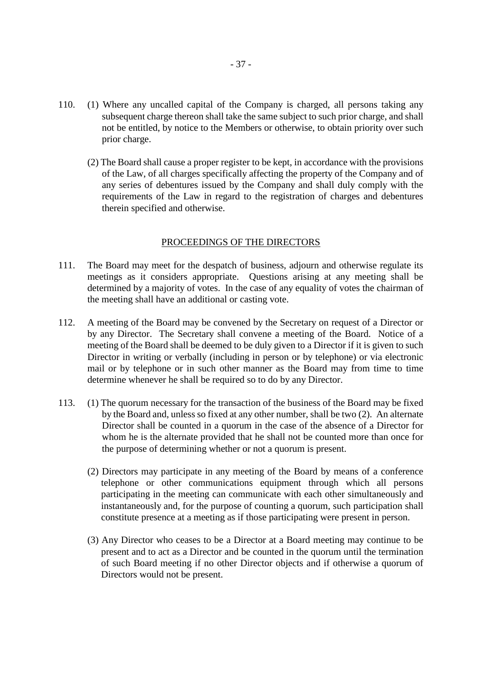- 110. (1) Where any uncalled capital of the Company is charged, all persons taking any subsequent charge thereon shall take the same subject to such prior charge, and shall not be entitled, by notice to the Members or otherwise, to obtain priority over such prior charge.
	- (2) The Board shall cause a proper register to be kept, in accordance with the provisions of the Law, of all charges specifically affecting the property of the Company and of any series of debentures issued by the Company and shall duly comply with the requirements of the Law in regard to the registration of charges and debentures therein specified and otherwise.

## PROCEEDINGS OF THE DIRECTORS

- 111. The Board may meet for the despatch of business, adjourn and otherwise regulate its meetings as it considers appropriate. Questions arising at any meeting shall be determined by a majority of votes. In the case of any equality of votes the chairman of the meeting shall have an additional or casting vote.
- 112. A meeting of the Board may be convened by the Secretary on request of a Director or by any Director. The Secretary shall convene a meeting of the Board. Notice of a meeting of the Board shall be deemed to be duly given to a Director if it is given to such Director in writing or verbally (including in person or by telephone) or via electronic mail or by telephone or in such other manner as the Board may from time to time determine whenever he shall be required so to do by any Director.
- 113. (1) The quorum necessary for the transaction of the business of the Board may be fixed by the Board and, unless so fixed at any other number, shall be two (2). An alternate Director shall be counted in a quorum in the case of the absence of a Director for whom he is the alternate provided that he shall not be counted more than once for the purpose of determining whether or not a quorum is present.
	- (2) Directors may participate in any meeting of the Board by means of a conference telephone or other communications equipment through which all persons participating in the meeting can communicate with each other simultaneously and instantaneously and, for the purpose of counting a quorum, such participation shall constitute presence at a meeting as if those participating were present in person.
	- (3) Any Director who ceases to be a Director at a Board meeting may continue to be present and to act as a Director and be counted in the quorum until the termination of such Board meeting if no other Director objects and if otherwise a quorum of Directors would not be present.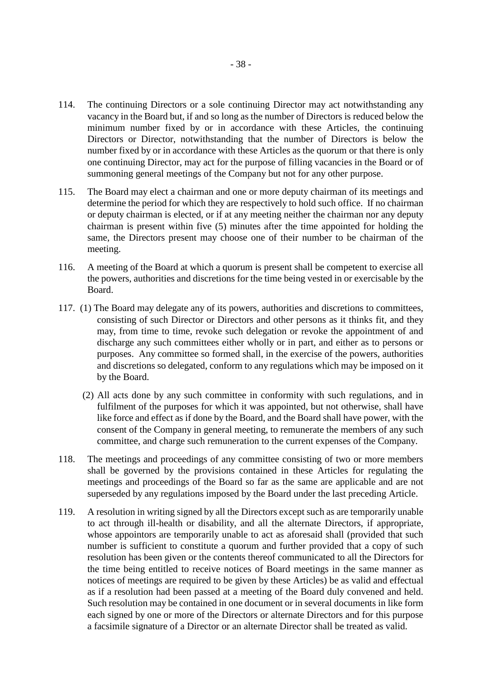- 114. The continuing Directors or a sole continuing Director may act notwithstanding any vacancy in the Board but, if and so long as the number of Directors is reduced below the minimum number fixed by or in accordance with these Articles, the continuing Directors or Director, notwithstanding that the number of Directors is below the number fixed by or in accordance with these Articles as the quorum or that there is only one continuing Director, may act for the purpose of filling vacancies in the Board or of summoning general meetings of the Company but not for any other purpose.
- 115. The Board may elect a chairman and one or more deputy chairman of its meetings and determine the period for which they are respectively to hold such office. If no chairman or deputy chairman is elected, or if at any meeting neither the chairman nor any deputy chairman is present within five (5) minutes after the time appointed for holding the same, the Directors present may choose one of their number to be chairman of the meeting.
- 116. A meeting of the Board at which a quorum is present shall be competent to exercise all the powers, authorities and discretions for the time being vested in or exercisable by the Board.
- 117. (1) The Board may delegate any of its powers, authorities and discretions to committees, consisting of such Director or Directors and other persons as it thinks fit, and they may, from time to time, revoke such delegation or revoke the appointment of and discharge any such committees either wholly or in part, and either as to persons or purposes. Any committee so formed shall, in the exercise of the powers, authorities and discretions so delegated, conform to any regulations which may be imposed on it by the Board.
	- (2) All acts done by any such committee in conformity with such regulations, and in fulfilment of the purposes for which it was appointed, but not otherwise, shall have like force and effect as if done by the Board, and the Board shall have power, with the consent of the Company in general meeting, to remunerate the members of any such committee, and charge such remuneration to the current expenses of the Company.
- 118. The meetings and proceedings of any committee consisting of two or more members shall be governed by the provisions contained in these Articles for regulating the meetings and proceedings of the Board so far as the same are applicable and are not superseded by any regulations imposed by the Board under the last preceding Article.
- 119. A resolution in writing signed by all the Directors except such as are temporarily unable to act through ill-health or disability, and all the alternate Directors, if appropriate, whose appointors are temporarily unable to act as aforesaid shall (provided that such number is sufficient to constitute a quorum and further provided that a copy of such resolution has been given or the contents thereof communicated to all the Directors for the time being entitled to receive notices of Board meetings in the same manner as notices of meetings are required to be given by these Articles) be as valid and effectual as if a resolution had been passed at a meeting of the Board duly convened and held. Such resolution may be contained in one document or in several documents in like form each signed by one or more of the Directors or alternate Directors and for this purpose a facsimile signature of a Director or an alternate Director shall be treated as valid.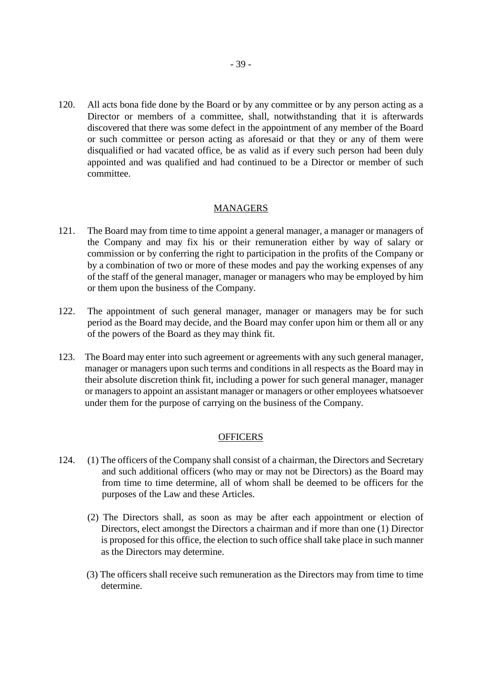120. All acts bona fide done by the Board or by any committee or by any person acting as a Director or members of a committee, shall, notwithstanding that it is afterwards discovered that there was some defect in the appointment of any member of the Board or such committee or person acting as aforesaid or that they or any of them were disqualified or had vacated office, be as valid as if every such person had been duly appointed and was qualified and had continued to be a Director or member of such committee.

# MANAGERS

- 121. The Board may from time to time appoint a general manager, a manager or managers of the Company and may fix his or their remuneration either by way of salary or commission or by conferring the right to participation in the profits of the Company or by a combination of two or more of these modes and pay the working expenses of any of the staff of the general manager, manager or managers who may be employed by him or them upon the business of the Company.
- 122. The appointment of such general manager, manager or managers may be for such period as the Board may decide, and the Board may confer upon him or them all or any of the powers of the Board as they may think fit.
- 123. The Board may enter into such agreement or agreements with any such general manager, manager or managers upon such terms and conditions in all respects as the Board may in their absolute discretion think fit, including a power for such general manager, manager or managers to appoint an assistant manager or managers or other employees whatsoever under them for the purpose of carrying on the business of the Company.

## **OFFICERS**

- 124. (1) The officers of the Company shall consist of a chairman, the Directors and Secretary and such additional officers (who may or may not be Directors) as the Board may from time to time determine, all of whom shall be deemed to be officers for the purposes of the Law and these Articles.
	- (2) The Directors shall, as soon as may be after each appointment or election of Directors, elect amongst the Directors a chairman and if more than one (1) Director is proposed for this office, the election to such office shall take place in such manner as the Directors may determine.
	- (3) The officers shall receive such remuneration as the Directors may from time to time determine.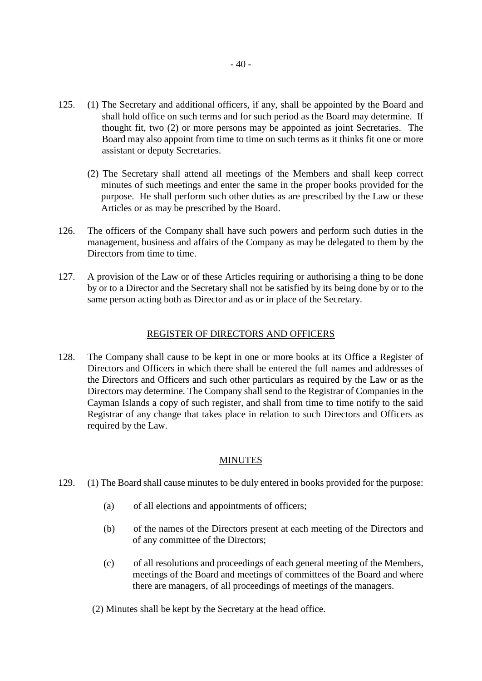- 125. (1) The Secretary and additional officers, if any, shall be appointed by the Board and shall hold office on such terms and for such period as the Board may determine. If thought fit, two (2) or more persons may be appointed as joint Secretaries. The Board may also appoint from time to time on such terms as it thinks fit one or more assistant or deputy Secretaries.
	- (2) The Secretary shall attend all meetings of the Members and shall keep correct minutes of such meetings and enter the same in the proper books provided for the purpose. He shall perform such other duties as are prescribed by the Law or these Articles or as may be prescribed by the Board.
- 126. The officers of the Company shall have such powers and perform such duties in the management, business and affairs of the Company as may be delegated to them by the Directors from time to time.
- 127. A provision of the Law or of these Articles requiring or authorising a thing to be done by or to a Director and the Secretary shall not be satisfied by its being done by or to the same person acting both as Director and as or in place of the Secretary.

#### REGISTER OF DIRECTORS AND OFFICERS

128. The Company shall cause to be kept in one or more books at its Office a Register of Directors and Officers in which there shall be entered the full names and addresses of the Directors and Officers and such other particulars as required by the Law or as the Directors may determine. The Company shall send to the Registrar of Companies in the Cayman Islands a copy of such register, and shall from time to time notify to the said Registrar of any change that takes place in relation to such Directors and Officers as required by the Law.

## **MINUTES**

- 129. (1) The Board shall cause minutes to be duly entered in books provided for the purpose:
	- (a) of all elections and appointments of officers;
	- (b) of the names of the Directors present at each meeting of the Directors and of any committee of the Directors;
	- (c) of all resolutions and proceedings of each general meeting of the Members, meetings of the Board and meetings of committees of the Board and where there are managers, of all proceedings of meetings of the managers.
	- (2) Minutes shall be kept by the Secretary at the head office.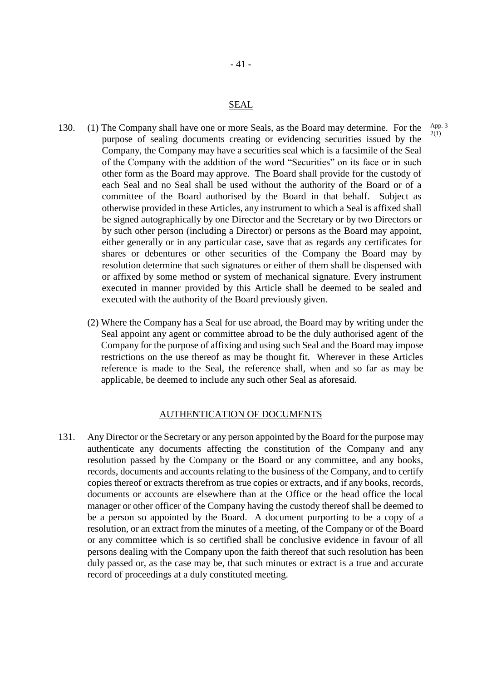#### SEAL

- 130. (1) The Company shall have one or more Seals, as the Board may determine. For the purpose of sealing documents creating or evidencing securities issued by the Company, the Company may have a securities seal which is a facsimile of the Seal of the Company with the addition of the word "Securities" on its face or in such other form as the Board may approve. The Board shall provide for the custody of each Seal and no Seal shall be used without the authority of the Board or of a committee of the Board authorised by the Board in that behalf. Subject as otherwise provided in these Articles, any instrument to which a Seal is affixed shall be signed autographically by one Director and the Secretary or by two Directors or by such other person (including a Director) or persons as the Board may appoint, either generally or in any particular case, save that as regards any certificates for shares or debentures or other securities of the Company the Board may by resolution determine that such signatures or either of them shall be dispensed with or affixed by some method or system of mechanical signature. Every instrument executed in manner provided by this Article shall be deemed to be sealed and executed with the authority of the Board previously given. App. 3 2(1)
	- (2) Where the Company has a Seal for use abroad, the Board may by writing under the Seal appoint any agent or committee abroad to be the duly authorised agent of the Company for the purpose of affixing and using such Seal and the Board may impose restrictions on the use thereof as may be thought fit. Wherever in these Articles reference is made to the Seal, the reference shall, when and so far as may be applicable, be deemed to include any such other Seal as aforesaid.

## AUTHENTICATION OF DOCUMENTS

131. Any Director or the Secretary or any person appointed by the Board for the purpose may authenticate any documents affecting the constitution of the Company and any resolution passed by the Company or the Board or any committee, and any books, records, documents and accounts relating to the business of the Company, and to certify copies thereof or extracts therefrom as true copies or extracts, and if any books, records, documents or accounts are elsewhere than at the Office or the head office the local manager or other officer of the Company having the custody thereof shall be deemed to be a person so appointed by the Board. A document purporting to be a copy of a resolution, or an extract from the minutes of a meeting, of the Company or of the Board or any committee which is so certified shall be conclusive evidence in favour of all persons dealing with the Company upon the faith thereof that such resolution has been duly passed or, as the case may be, that such minutes or extract is a true and accurate record of proceedings at a duly constituted meeting.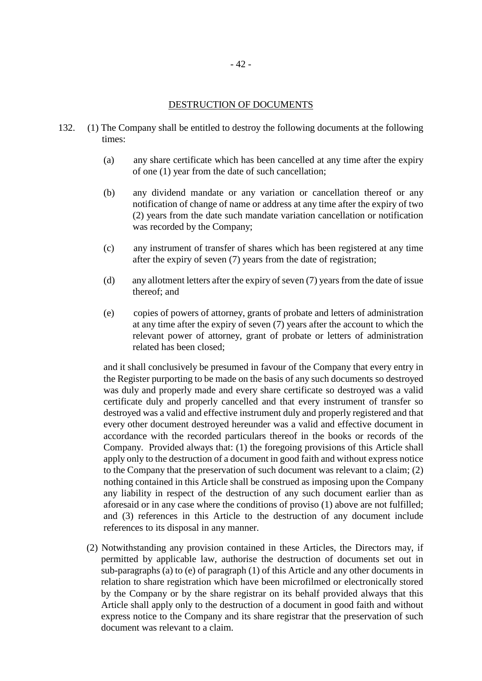#### DESTRUCTION OF DOCUMENTS

- 132. (1) The Company shall be entitled to destroy the following documents at the following times:
	- (a) any share certificate which has been cancelled at any time after the expiry of one (1) year from the date of such cancellation;
	- (b) any dividend mandate or any variation or cancellation thereof or any notification of change of name or address at any time after the expiry of two (2) years from the date such mandate variation cancellation or notification was recorded by the Company;
	- (c) any instrument of transfer of shares which has been registered at any time after the expiry of seven (7) years from the date of registration;
	- (d) any allotment letters after the expiry of seven (7) years from the date of issue thereof; and
	- (e) copies of powers of attorney, grants of probate and letters of administration at any time after the expiry of seven (7) years after the account to which the relevant power of attorney, grant of probate or letters of administration related has been closed;

and it shall conclusively be presumed in favour of the Company that every entry in the Register purporting to be made on the basis of any such documents so destroyed was duly and properly made and every share certificate so destroyed was a valid certificate duly and properly cancelled and that every instrument of transfer so destroyed was a valid and effective instrument duly and properly registered and that every other document destroyed hereunder was a valid and effective document in accordance with the recorded particulars thereof in the books or records of the Company. Provided always that: (1) the foregoing provisions of this Article shall apply only to the destruction of a document in good faith and without express notice to the Company that the preservation of such document was relevant to a claim; (2) nothing contained in this Article shall be construed as imposing upon the Company any liability in respect of the destruction of any such document earlier than as aforesaid or in any case where the conditions of proviso (1) above are not fulfilled; and (3) references in this Article to the destruction of any document include references to its disposal in any manner.

(2) Notwithstanding any provision contained in these Articles, the Directors may, if permitted by applicable law, authorise the destruction of documents set out in sub-paragraphs (a) to (e) of paragraph (1) of this Article and any other documents in relation to share registration which have been microfilmed or electronically stored by the Company or by the share registrar on its behalf provided always that this Article shall apply only to the destruction of a document in good faith and without express notice to the Company and its share registrar that the preservation of such document was relevant to a claim.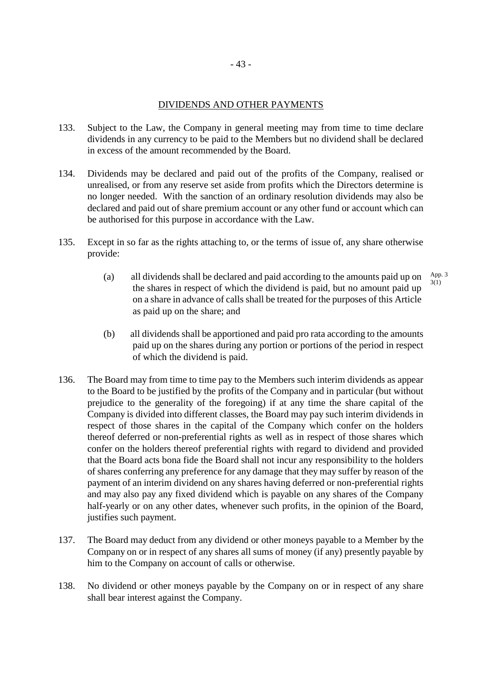- 133. Subject to the Law, the Company in general meeting may from time to time declare dividends in any currency to be paid to the Members but no dividend shall be declared in excess of the amount recommended by the Board.
- 134. Dividends may be declared and paid out of the profits of the Company, realised or unrealised, or from any reserve set aside from profits which the Directors determine is no longer needed. With the sanction of an ordinary resolution dividends may also be declared and paid out of share premium account or any other fund or account which can be authorised for this purpose in accordance with the Law.
- 135. Except in so far as the rights attaching to, or the terms of issue of, any share otherwise provide:
	- (a) all dividends shall be declared and paid according to the amounts paid up on the shares in respect of which the dividend is paid, but no amount paid up on a share in advance of calls shall be treated for the purposes of this Article as paid up on the share; and App. 3 3(1)
	- (b) all dividends shall be apportioned and paid pro rata according to the amounts paid up on the shares during any portion or portions of the period in respect of which the dividend is paid.
- 136. The Board may from time to time pay to the Members such interim dividends as appear to the Board to be justified by the profits of the Company and in particular (but without prejudice to the generality of the foregoing) if at any time the share capital of the Company is divided into different classes, the Board may pay such interim dividends in respect of those shares in the capital of the Company which confer on the holders thereof deferred or non-preferential rights as well as in respect of those shares which confer on the holders thereof preferential rights with regard to dividend and provided that the Board acts bona fide the Board shall not incur any responsibility to the holders of shares conferring any preference for any damage that they may suffer by reason of the payment of an interim dividend on any shares having deferred or non-preferential rights and may also pay any fixed dividend which is payable on any shares of the Company half-yearly or on any other dates, whenever such profits, in the opinion of the Board, justifies such payment.
- 137. The Board may deduct from any dividend or other moneys payable to a Member by the Company on or in respect of any shares all sums of money (if any) presently payable by him to the Company on account of calls or otherwise.
- 138. No dividend or other moneys payable by the Company on or in respect of any share shall bear interest against the Company.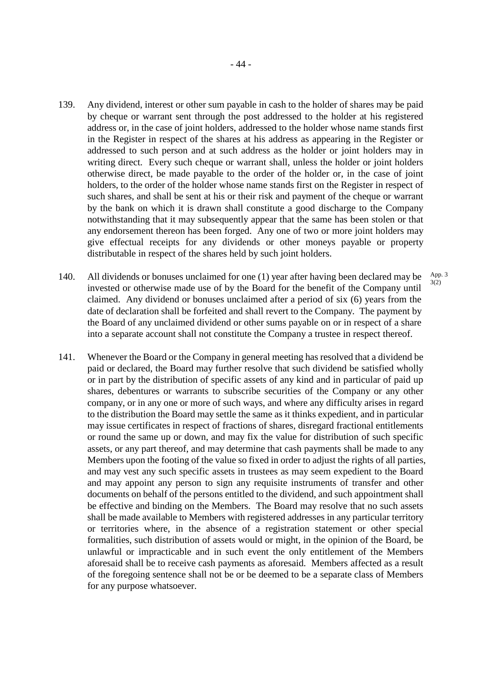- 139. Any dividend, interest or other sum payable in cash to the holder of shares may be paid by cheque or warrant sent through the post addressed to the holder at his registered address or, in the case of joint holders, addressed to the holder whose name stands first in the Register in respect of the shares at his address as appearing in the Register or addressed to such person and at such address as the holder or joint holders may in writing direct. Every such cheque or warrant shall, unless the holder or joint holders otherwise direct, be made payable to the order of the holder or, in the case of joint holders, to the order of the holder whose name stands first on the Register in respect of such shares, and shall be sent at his or their risk and payment of the cheque or warrant by the bank on which it is drawn shall constitute a good discharge to the Company notwithstanding that it may subsequently appear that the same has been stolen or that any endorsement thereon has been forged. Any one of two or more joint holders may give effectual receipts for any dividends or other moneys payable or property distributable in respect of the shares held by such joint holders.
- 140. All dividends or bonuses unclaimed for one (1) year after having been declared may be invested or otherwise made use of by the Board for the benefit of the Company until claimed. Any dividend or bonuses unclaimed after a period of six (6) years from the date of declaration shall be forfeited and shall revert to the Company. The payment by the Board of any unclaimed dividend or other sums payable on or in respect of a share into a separate account shall not constitute the Company a trustee in respect thereof. App. 3 3(2)
- 141. Whenever the Board or the Company in general meeting has resolved that a dividend be paid or declared, the Board may further resolve that such dividend be satisfied wholly or in part by the distribution of specific assets of any kind and in particular of paid up shares, debentures or warrants to subscribe securities of the Company or any other company, or in any one or more of such ways, and where any difficulty arises in regard to the distribution the Board may settle the same as it thinks expedient, and in particular may issue certificates in respect of fractions of shares, disregard fractional entitlements or round the same up or down, and may fix the value for distribution of such specific assets, or any part thereof, and may determine that cash payments shall be made to any Members upon the footing of the value so fixed in order to adjust the rights of all parties, and may vest any such specific assets in trustees as may seem expedient to the Board and may appoint any person to sign any requisite instruments of transfer and other documents on behalf of the persons entitled to the dividend, and such appointment shall be effective and binding on the Members. The Board may resolve that no such assets shall be made available to Members with registered addresses in any particular territory or territories where, in the absence of a registration statement or other special formalities, such distribution of assets would or might, in the opinion of the Board, be unlawful or impracticable and in such event the only entitlement of the Members aforesaid shall be to receive cash payments as aforesaid. Members affected as a result of the foregoing sentence shall not be or be deemed to be a separate class of Members for any purpose whatsoever.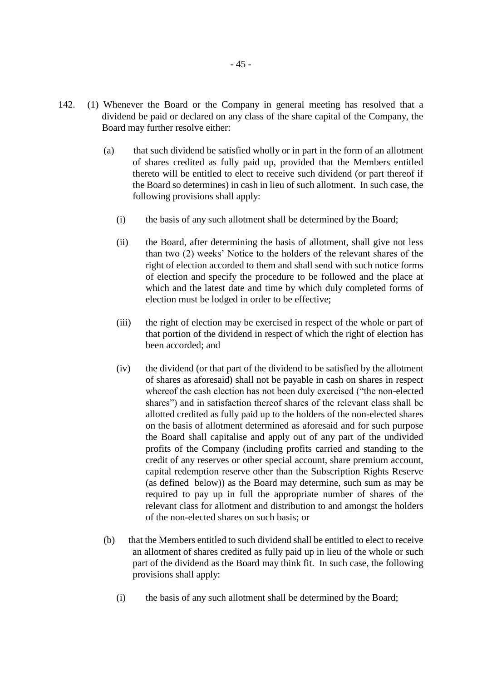- 142. (1) Whenever the Board or the Company in general meeting has resolved that a dividend be paid or declared on any class of the share capital of the Company, the Board may further resolve either:
	- (a) that such dividend be satisfied wholly or in part in the form of an allotment of shares credited as fully paid up, provided that the Members entitled thereto will be entitled to elect to receive such dividend (or part thereof if the Board so determines) in cash in lieu of such allotment. In such case, the following provisions shall apply:
		- (i) the basis of any such allotment shall be determined by the Board;
		- (ii) the Board, after determining the basis of allotment, shall give not less than two (2) weeks' Notice to the holders of the relevant shares of the right of election accorded to them and shall send with such notice forms of election and specify the procedure to be followed and the place at which and the latest date and time by which duly completed forms of election must be lodged in order to be effective;
		- (iii) the right of election may be exercised in respect of the whole or part of that portion of the dividend in respect of which the right of election has been accorded; and
		- (iv) the dividend (or that part of the dividend to be satisfied by the allotment of shares as aforesaid) shall not be payable in cash on shares in respect whereof the cash election has not been duly exercised ("the non-elected shares") and in satisfaction thereof shares of the relevant class shall be allotted credited as fully paid up to the holders of the non-elected shares on the basis of allotment determined as aforesaid and for such purpose the Board shall capitalise and apply out of any part of the undivided profits of the Company (including profits carried and standing to the credit of any reserves or other special account, share premium account, capital redemption reserve other than the Subscription Rights Reserve (as defined below)) as the Board may determine, such sum as may be required to pay up in full the appropriate number of shares of the relevant class for allotment and distribution to and amongst the holders of the non-elected shares on such basis; or
	- (b) that the Members entitled to such dividend shall be entitled to elect to receive an allotment of shares credited as fully paid up in lieu of the whole or such part of the dividend as the Board may think fit. In such case, the following provisions shall apply:
		- (i) the basis of any such allotment shall be determined by the Board;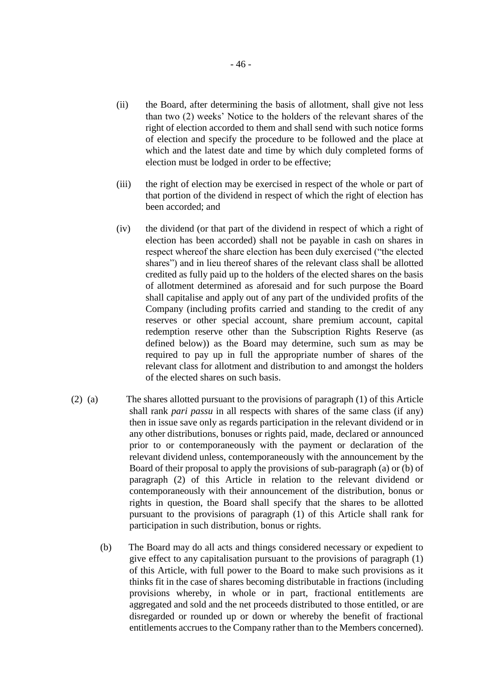- (ii) the Board, after determining the basis of allotment, shall give not less than two (2) weeks' Notice to the holders of the relevant shares of the right of election accorded to them and shall send with such notice forms of election and specify the procedure to be followed and the place at which and the latest date and time by which duly completed forms of election must be lodged in order to be effective;
- (iii) the right of election may be exercised in respect of the whole or part of that portion of the dividend in respect of which the right of election has been accorded; and
- (iv) the dividend (or that part of the dividend in respect of which a right of election has been accorded) shall not be payable in cash on shares in respect whereof the share election has been duly exercised ("the elected shares") and in lieu thereof shares of the relevant class shall be allotted credited as fully paid up to the holders of the elected shares on the basis of allotment determined as aforesaid and for such purpose the Board shall capitalise and apply out of any part of the undivided profits of the Company (including profits carried and standing to the credit of any reserves or other special account, share premium account, capital redemption reserve other than the Subscription Rights Reserve (as defined below)) as the Board may determine, such sum as may be required to pay up in full the appropriate number of shares of the relevant class for allotment and distribution to and amongst the holders of the elected shares on such basis.
- (2) (a) The shares allotted pursuant to the provisions of paragraph (1) of this Article shall rank *pari passu* in all respects with shares of the same class (if any) then in issue save only as regards participation in the relevant dividend or in any other distributions, bonuses or rights paid, made, declared or announced prior to or contemporaneously with the payment or declaration of the relevant dividend unless, contemporaneously with the announcement by the Board of their proposal to apply the provisions of sub-paragraph (a) or (b) of paragraph (2) of this Article in relation to the relevant dividend or contemporaneously with their announcement of the distribution, bonus or rights in question, the Board shall specify that the shares to be allotted pursuant to the provisions of paragraph (1) of this Article shall rank for participation in such distribution, bonus or rights.
	- (b) The Board may do all acts and things considered necessary or expedient to give effect to any capitalisation pursuant to the provisions of paragraph (1) of this Article, with full power to the Board to make such provisions as it thinks fit in the case of shares becoming distributable in fractions (including provisions whereby, in whole or in part, fractional entitlements are aggregated and sold and the net proceeds distributed to those entitled, or are disregarded or rounded up or down or whereby the benefit of fractional entitlements accrues to the Company rather than to the Members concerned).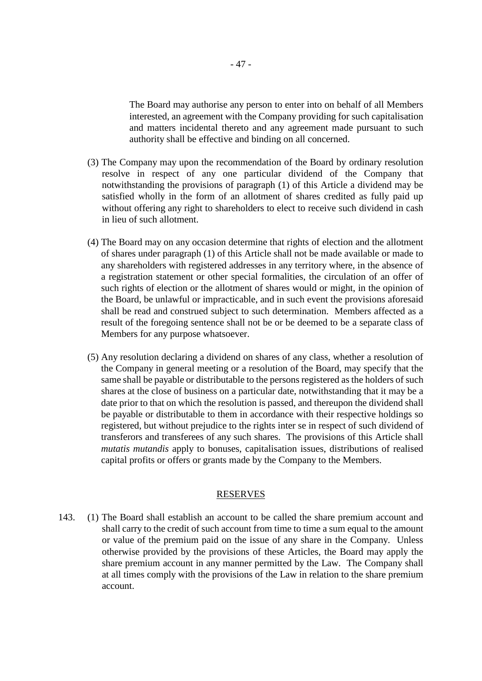The Board may authorise any person to enter into on behalf of all Members interested, an agreement with the Company providing for such capitalisation and matters incidental thereto and any agreement made pursuant to such authority shall be effective and binding on all concerned.

- (3) The Company may upon the recommendation of the Board by ordinary resolution resolve in respect of any one particular dividend of the Company that notwithstanding the provisions of paragraph (1) of this Article a dividend may be satisfied wholly in the form of an allotment of shares credited as fully paid up without offering any right to shareholders to elect to receive such dividend in cash in lieu of such allotment.
- (4) The Board may on any occasion determine that rights of election and the allotment of shares under paragraph (1) of this Article shall not be made available or made to any shareholders with registered addresses in any territory where, in the absence of a registration statement or other special formalities, the circulation of an offer of such rights of election or the allotment of shares would or might, in the opinion of the Board, be unlawful or impracticable, and in such event the provisions aforesaid shall be read and construed subject to such determination. Members affected as a result of the foregoing sentence shall not be or be deemed to be a separate class of Members for any purpose whatsoever.
- (5) Any resolution declaring a dividend on shares of any class, whether a resolution of the Company in general meeting or a resolution of the Board, may specify that the same shall be payable or distributable to the persons registered as the holders of such shares at the close of business on a particular date, notwithstanding that it may be a date prior to that on which the resolution is passed, and thereupon the dividend shall be payable or distributable to them in accordance with their respective holdings so registered, but without prejudice to the rights inter se in respect of such dividend of transferors and transferees of any such shares. The provisions of this Article shall *mutatis mutandis* apply to bonuses, capitalisation issues, distributions of realised capital profits or offers or grants made by the Company to the Members.

#### RESERVES

143. (1) The Board shall establish an account to be called the share premium account and shall carry to the credit of such account from time to time a sum equal to the amount or value of the premium paid on the issue of any share in the Company. Unless otherwise provided by the provisions of these Articles, the Board may apply the share premium account in any manner permitted by the Law. The Company shall at all times comply with the provisions of the Law in relation to the share premium account.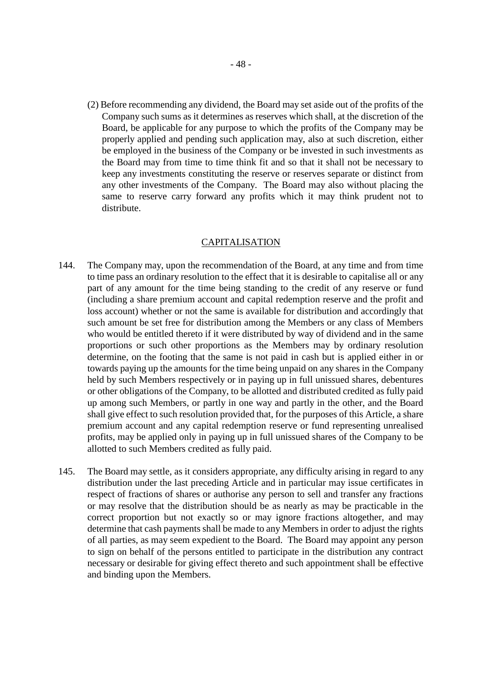(2) Before recommending any dividend, the Board may set aside out of the profits of the Company such sums as it determines as reserves which shall, at the discretion of the Board, be applicable for any purpose to which the profits of the Company may be properly applied and pending such application may, also at such discretion, either be employed in the business of the Company or be invested in such investments as the Board may from time to time think fit and so that it shall not be necessary to keep any investments constituting the reserve or reserves separate or distinct from any other investments of the Company. The Board may also without placing the same to reserve carry forward any profits which it may think prudent not to distribute.

#### CAPITALISATION

- 144. The Company may, upon the recommendation of the Board, at any time and from time to time pass an ordinary resolution to the effect that it is desirable to capitalise all or any part of any amount for the time being standing to the credit of any reserve or fund (including a share premium account and capital redemption reserve and the profit and loss account) whether or not the same is available for distribution and accordingly that such amount be set free for distribution among the Members or any class of Members who would be entitled thereto if it were distributed by way of dividend and in the same proportions or such other proportions as the Members may by ordinary resolution determine, on the footing that the same is not paid in cash but is applied either in or towards paying up the amounts for the time being unpaid on any shares in the Company held by such Members respectively or in paying up in full unissued shares, debentures or other obligations of the Company, to be allotted and distributed credited as fully paid up among such Members, or partly in one way and partly in the other, and the Board shall give effect to such resolution provided that, for the purposes of this Article, a share premium account and any capital redemption reserve or fund representing unrealised profits, may be applied only in paying up in full unissued shares of the Company to be allotted to such Members credited as fully paid.
- 145. The Board may settle, as it considers appropriate, any difficulty arising in regard to any distribution under the last preceding Article and in particular may issue certificates in respect of fractions of shares or authorise any person to sell and transfer any fractions or may resolve that the distribution should be as nearly as may be practicable in the correct proportion but not exactly so or may ignore fractions altogether, and may determine that cash payments shall be made to any Members in order to adjust the rights of all parties, as may seem expedient to the Board. The Board may appoint any person to sign on behalf of the persons entitled to participate in the distribution any contract necessary or desirable for giving effect thereto and such appointment shall be effective and binding upon the Members.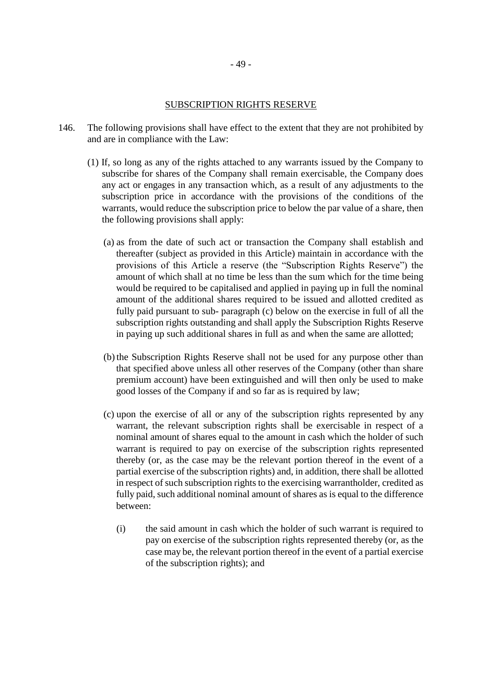## SUBSCRIPTION RIGHTS RESERVE

- 146. The following provisions shall have effect to the extent that they are not prohibited by and are in compliance with the Law:
	- (1) If, so long as any of the rights attached to any warrants issued by the Company to subscribe for shares of the Company shall remain exercisable, the Company does any act or engages in any transaction which, as a result of any adjustments to the subscription price in accordance with the provisions of the conditions of the warrants, would reduce the subscription price to below the par value of a share, then the following provisions shall apply:
		- (a) as from the date of such act or transaction the Company shall establish and thereafter (subject as provided in this Article) maintain in accordance with the provisions of this Article a reserve (the "Subscription Rights Reserve") the amount of which shall at no time be less than the sum which for the time being would be required to be capitalised and applied in paying up in full the nominal amount of the additional shares required to be issued and allotted credited as fully paid pursuant to sub- paragraph (c) below on the exercise in full of all the subscription rights outstanding and shall apply the Subscription Rights Reserve in paying up such additional shares in full as and when the same are allotted;
		- (b) the Subscription Rights Reserve shall not be used for any purpose other than that specified above unless all other reserves of the Company (other than share premium account) have been extinguished and will then only be used to make good losses of the Company if and so far as is required by law;
		- (c) upon the exercise of all or any of the subscription rights represented by any warrant, the relevant subscription rights shall be exercisable in respect of a nominal amount of shares equal to the amount in cash which the holder of such warrant is required to pay on exercise of the subscription rights represented thereby (or, as the case may be the relevant portion thereof in the event of a partial exercise of the subscription rights) and, in addition, there shall be allotted in respect of such subscription rights to the exercising warrantholder, credited as fully paid, such additional nominal amount of shares as is equal to the difference between:
			- (i) the said amount in cash which the holder of such warrant is required to pay on exercise of the subscription rights represented thereby (or, as the case may be, the relevant portion thereof in the event of a partial exercise of the subscription rights); and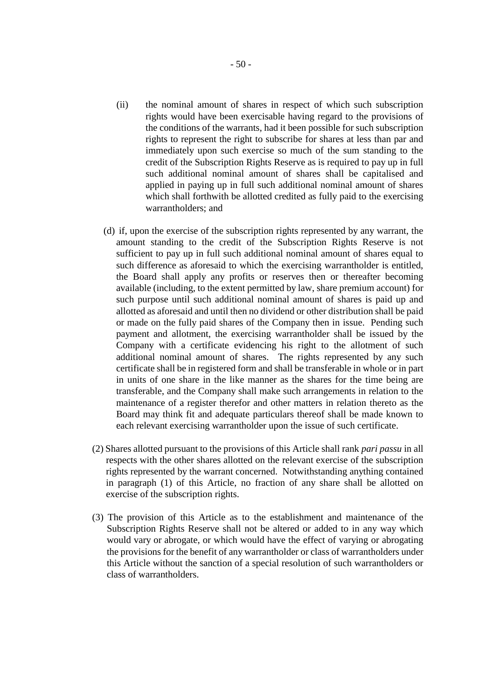- (ii) the nominal amount of shares in respect of which such subscription rights would have been exercisable having regard to the provisions of the conditions of the warrants, had it been possible for such subscription rights to represent the right to subscribe for shares at less than par and immediately upon such exercise so much of the sum standing to the credit of the Subscription Rights Reserve as is required to pay up in full such additional nominal amount of shares shall be capitalised and applied in paying up in full such additional nominal amount of shares which shall forthwith be allotted credited as fully paid to the exercising warrantholders; and
- (d) if, upon the exercise of the subscription rights represented by any warrant, the amount standing to the credit of the Subscription Rights Reserve is not sufficient to pay up in full such additional nominal amount of shares equal to such difference as aforesaid to which the exercising warrantholder is entitled, the Board shall apply any profits or reserves then or thereafter becoming available (including, to the extent permitted by law, share premium account) for such purpose until such additional nominal amount of shares is paid up and allotted as aforesaid and until then no dividend or other distribution shall be paid or made on the fully paid shares of the Company then in issue. Pending such payment and allotment, the exercising warrantholder shall be issued by the Company with a certificate evidencing his right to the allotment of such additional nominal amount of shares. The rights represented by any such certificate shall be in registered form and shall be transferable in whole or in part in units of one share in the like manner as the shares for the time being are transferable, and the Company shall make such arrangements in relation to the maintenance of a register therefor and other matters in relation thereto as the Board may think fit and adequate particulars thereof shall be made known to each relevant exercising warrantholder upon the issue of such certificate.
- (2) Shares allotted pursuant to the provisions of this Article shall rank *pari passu* in all respects with the other shares allotted on the relevant exercise of the subscription rights represented by the warrant concerned. Notwithstanding anything contained in paragraph (1) of this Article, no fraction of any share shall be allotted on exercise of the subscription rights.
- (3) The provision of this Article as to the establishment and maintenance of the Subscription Rights Reserve shall not be altered or added to in any way which would vary or abrogate, or which would have the effect of varying or abrogating the provisions for the benefit of any warrantholder or class of warrantholders under this Article without the sanction of a special resolution of such warrantholders or class of warrantholders.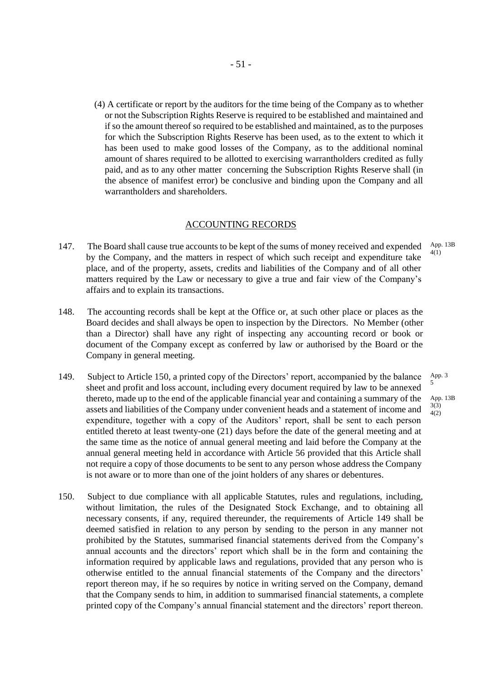(4) A certificate or report by the auditors for the time being of the Company as to whether or not the Subscription Rights Reserve is required to be established and maintained and if so the amount thereof so required to be established and maintained, as to the purposes for which the Subscription Rights Reserve has been used, as to the extent to which it has been used to make good losses of the Company, as to the additional nominal amount of shares required to be allotted to exercising warrantholders credited as fully paid, and as to any other matter concerning the Subscription Rights Reserve shall (in the absence of manifest error) be conclusive and binding upon the Company and all warrantholders and shareholders.

#### ACCOUNTING RECORDS

- 147. The Board shall cause true accounts to be kept of the sums of money received and expended by the Company, and the matters in respect of which such receipt and expenditure take place, and of the property, assets, credits and liabilities of the Company and of all other matters required by the Law or necessary to give a true and fair view of the Company's affairs and to explain its transactions. App. 13B 4(1)
- 148. The accounting records shall be kept at the Office or, at such other place or places as the Board decides and shall always be open to inspection by the Directors. No Member (other than a Director) shall have any right of inspecting any accounting record or book or document of the Company except as conferred by law or authorised by the Board or the Company in general meeting.
- 149. Subject to Article 150, a printed copy of the Directors' report, accompanied by the balance sheet and profit and loss account, including every document required by law to be annexed thereto, made up to the end of the applicable financial year and containing a summary of the assets and liabilities of the Company under convenient heads and a statement of income and expenditure, together with a copy of the Auditors' report, shall be sent to each person entitled thereto at least twenty-one (21) days before the date of the general meeting and at the same time as the notice of annual general meeting and laid before the Company at the annual general meeting held in accordance with Article 56 provided that this Article shall not require a copy of those documents to be sent to any person whose address the Company is not aware or to more than one of the joint holders of any shares or debentures. 4(2)
- 150. Subject to due compliance with all applicable Statutes, rules and regulations, including, without limitation, the rules of the Designated Stock Exchange, and to obtaining all necessary consents, if any, required thereunder, the requirements of Article 149 shall be deemed satisfied in relation to any person by sending to the person in any manner not prohibited by the Statutes, summarised financial statements derived from the Company's annual accounts and the directors' report which shall be in the form and containing the information required by applicable laws and regulations, provided that any person who is otherwise entitled to the annual financial statements of the Company and the directors' report thereon may, if he so requires by notice in writing served on the Company, demand that the Company sends to him, in addition to summarised financial statements, a complete printed copy of the Company's annual financial statement and the directors' report thereon.

5 App. 13B 3(3)

App. 3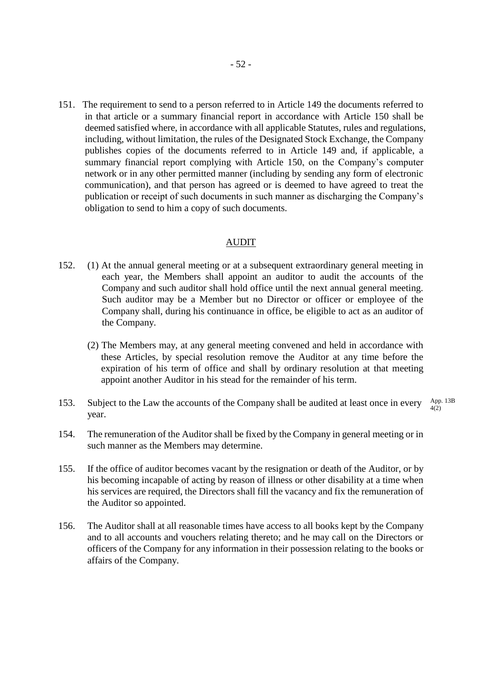151. The requirement to send to a person referred to in Article 149 the documents referred to in that article or a summary financial report in accordance with Article 150 shall be deemed satisfied where, in accordance with all applicable Statutes, rules and regulations, including, without limitation, the rules of the Designated Stock Exchange, the Company publishes copies of the documents referred to in Article 149 and, if applicable, a summary financial report complying with Article 150, on the Company's computer network or in any other permitted manner (including by sending any form of electronic communication), and that person has agreed or is deemed to have agreed to treat the publication or receipt of such documents in such manner as discharging the Company's obligation to send to him a copy of such documents.

#### AUDIT

- 152. (1) At the annual general meeting or at a subsequent extraordinary general meeting in each year, the Members shall appoint an auditor to audit the accounts of the Company and such auditor shall hold office until the next annual general meeting. Such auditor may be a Member but no Director or officer or employee of the Company shall, during his continuance in office, be eligible to act as an auditor of the Company.
	- (2) The Members may, at any general meeting convened and held in accordance with these Articles, by special resolution remove the Auditor at any time before the expiration of his term of office and shall by ordinary resolution at that meeting appoint another Auditor in his stead for the remainder of his term.
- 153. Subject to the Law the accounts of the Company shall be audited at least once in every year. App. 13B 4(2)

- 154. The remuneration of the Auditor shall be fixed by the Company in general meeting or in such manner as the Members may determine.
- 155. If the office of auditor becomes vacant by the resignation or death of the Auditor, or by his becoming incapable of acting by reason of illness or other disability at a time when his services are required, the Directors shall fill the vacancy and fix the remuneration of the Auditor so appointed.
- 156. The Auditor shall at all reasonable times have access to all books kept by the Company and to all accounts and vouchers relating thereto; and he may call on the Directors or officers of the Company for any information in their possession relating to the books or affairs of the Company.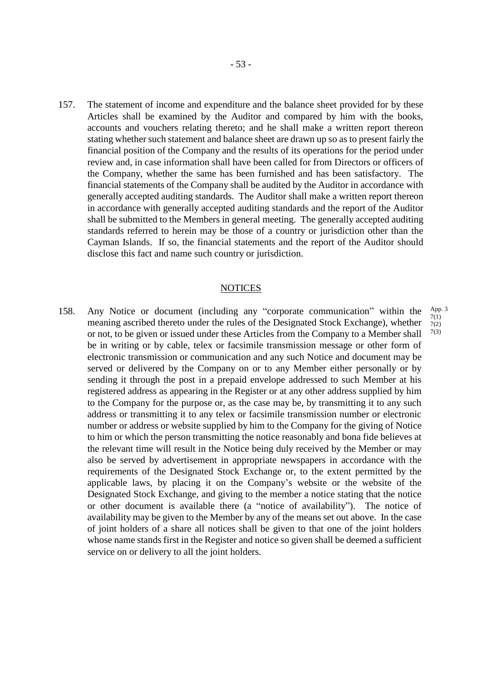157. The statement of income and expenditure and the balance sheet provided for by these Articles shall be examined by the Auditor and compared by him with the books, accounts and vouchers relating thereto; and he shall make a written report thereon stating whether such statement and balance sheet are drawn up so as to present fairly the financial position of the Company and the results of its operations for the period under review and, in case information shall have been called for from Directors or officers of the Company, whether the same has been furnished and has been satisfactory. The financial statements of the Company shall be audited by the Auditor in accordance with generally accepted auditing standards. The Auditor shall make a written report thereon in accordance with generally accepted auditing standards and the report of the Auditor shall be submitted to the Members in general meeting. The generally accepted auditing standards referred to herein may be those of a country or jurisdiction other than the Cayman Islands. If so, the financial statements and the report of the Auditor should disclose this fact and name such country or jurisdiction.

#### **NOTICES**

158. Any Notice or document (including any "corporate communication" within the meaning ascribed thereto under the rules of the Designated Stock Exchange), whether or not, to be given or issued under these Articles from the Company to a Member shall be in writing or by cable, telex or facsimile transmission message or other form of electronic transmission or communication and any such Notice and document may be served or delivered by the Company on or to any Member either personally or by sending it through the post in a prepaid envelope addressed to such Member at his registered address as appearing in the Register or at any other address supplied by him to the Company for the purpose or, as the case may be, by transmitting it to any such address or transmitting it to any telex or facsimile transmission number or electronic number or address or website supplied by him to the Company for the giving of Notice to him or which the person transmitting the notice reasonably and bona fide believes at the relevant time will result in the Notice being duly received by the Member or may also be served by advertisement in appropriate newspapers in accordance with the requirements of the Designated Stock Exchange or, to the extent permitted by the applicable laws, by placing it on the Company's website or the website of the Designated Stock Exchange, and giving to the member a notice stating that the notice or other document is available there (a "notice of availability"). The notice of availability may be given to the Member by any of the means set out above. In the case of joint holders of a share all notices shall be given to that one of the joint holders whose name stands first in the Register and notice so given shall be deemed a sufficient service on or delivery to all the joint holders.

App. 3 7(1) 7(2) 7(3)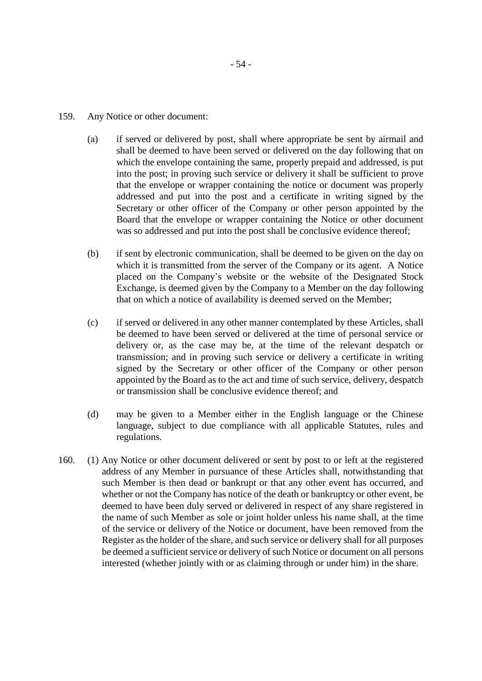- 159. Any Notice or other document:
	- (a) if served or delivered by post, shall where appropriate be sent by airmail and shall be deemed to have been served or delivered on the day following that on which the envelope containing the same, properly prepaid and addressed, is put into the post; in proving such service or delivery it shall be sufficient to prove that the envelope or wrapper containing the notice or document was properly addressed and put into the post and a certificate in writing signed by the Secretary or other officer of the Company or other person appointed by the Board that the envelope or wrapper containing the Notice or other document was so addressed and put into the post shall be conclusive evidence thereof;
	- (b) if sent by electronic communication, shall be deemed to be given on the day on which it is transmitted from the server of the Company or its agent. A Notice placed on the Company's website or the website of the Designated Stock Exchange, is deemed given by the Company to a Member on the day following that on which a notice of availability is deemed served on the Member;
	- (c) if served or delivered in any other manner contemplated by these Articles, shall be deemed to have been served or delivered at the time of personal service or delivery or, as the case may be, at the time of the relevant despatch or transmission; and in proving such service or delivery a certificate in writing signed by the Secretary or other officer of the Company or other person appointed by the Board as to the act and time of such service, delivery, despatch or transmission shall be conclusive evidence thereof; and
	- (d) may be given to a Member either in the English language or the Chinese language, subject to due compliance with all applicable Statutes, rules and regulations.
- 160. (1) Any Notice or other document delivered or sent by post to or left at the registered address of any Member in pursuance of these Articles shall, notwithstanding that such Member is then dead or bankrupt or that any other event has occurred, and whether or not the Company has notice of the death or bankruptcy or other event, be deemed to have been duly served or delivered in respect of any share registered in the name of such Member as sole or joint holder unless his name shall, at the time of the service or delivery of the Notice or document, have been removed from the Register as the holder of the share, and such service or delivery shall for all purposes be deemed a sufficient service or delivery of such Notice or document on all persons interested (whether jointly with or as claiming through or under him) in the share.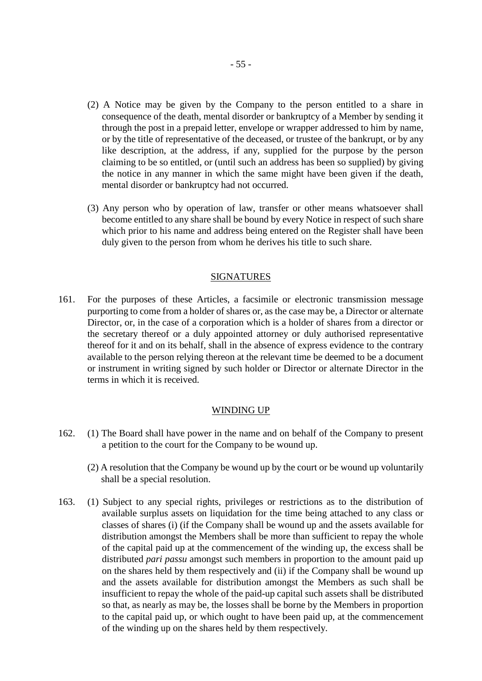- (2) A Notice may be given by the Company to the person entitled to a share in consequence of the death, mental disorder or bankruptcy of a Member by sending it through the post in a prepaid letter, envelope or wrapper addressed to him by name, or by the title of representative of the deceased, or trustee of the bankrupt, or by any like description, at the address, if any, supplied for the purpose by the person claiming to be so entitled, or (until such an address has been so supplied) by giving the notice in any manner in which the same might have been given if the death, mental disorder or bankruptcy had not occurred.
- (3) Any person who by operation of law, transfer or other means whatsoever shall become entitled to any share shall be bound by every Notice in respect of such share which prior to his name and address being entered on the Register shall have been duly given to the person from whom he derives his title to such share.

#### SIGNATURES

161. For the purposes of these Articles, a facsimile or electronic transmission message purporting to come from a holder of shares or, as the case may be, a Director or alternate Director, or, in the case of a corporation which is a holder of shares from a director or the secretary thereof or a duly appointed attorney or duly authorised representative thereof for it and on its behalf, shall in the absence of express evidence to the contrary available to the person relying thereon at the relevant time be deemed to be a document or instrument in writing signed by such holder or Director or alternate Director in the terms in which it is received.

#### WINDING UP

- 162. (1) The Board shall have power in the name and on behalf of the Company to present a petition to the court for the Company to be wound up.
	- (2) A resolution that the Company be wound up by the court or be wound up voluntarily shall be a special resolution.
- 163. (1) Subject to any special rights, privileges or restrictions as to the distribution of available surplus assets on liquidation for the time being attached to any class or classes of shares (i) (if the Company shall be wound up and the assets available for distribution amongst the Members shall be more than sufficient to repay the whole of the capital paid up at the commencement of the winding up, the excess shall be distributed *pari passu* amongst such members in proportion to the amount paid up on the shares held by them respectively and (ii) if the Company shall be wound up and the assets available for distribution amongst the Members as such shall be insufficient to repay the whole of the paid-up capital such assets shall be distributed so that, as nearly as may be, the losses shall be borne by the Members in proportion to the capital paid up, or which ought to have been paid up, at the commencement of the winding up on the shares held by them respectively.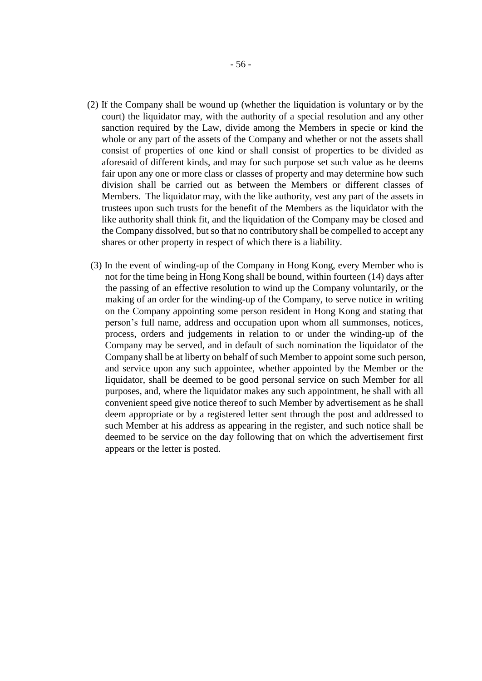- (2) If the Company shall be wound up (whether the liquidation is voluntary or by the court) the liquidator may, with the authority of a special resolution and any other sanction required by the Law, divide among the Members in specie or kind the whole or any part of the assets of the Company and whether or not the assets shall consist of properties of one kind or shall consist of properties to be divided as aforesaid of different kinds, and may for such purpose set such value as he deems fair upon any one or more class or classes of property and may determine how such division shall be carried out as between the Members or different classes of Members. The liquidator may, with the like authority, vest any part of the assets in trustees upon such trusts for the benefit of the Members as the liquidator with the like authority shall think fit, and the liquidation of the Company may be closed and the Company dissolved, but so that no contributory shall be compelled to accept any shares or other property in respect of which there is a liability.
- (3) In the event of winding-up of the Company in Hong Kong, every Member who is not for the time being in Hong Kong shall be bound, within fourteen (14) days after the passing of an effective resolution to wind up the Company voluntarily, or the making of an order for the winding-up of the Company, to serve notice in writing on the Company appointing some person resident in Hong Kong and stating that person's full name, address and occupation upon whom all summonses, notices, process, orders and judgements in relation to or under the winding-up of the Company may be served, and in default of such nomination the liquidator of the Company shall be at liberty on behalf of such Member to appoint some such person, and service upon any such appointee, whether appointed by the Member or the liquidator, shall be deemed to be good personal service on such Member for all purposes, and, where the liquidator makes any such appointment, he shall with all convenient speed give notice thereof to such Member by advertisement as he shall deem appropriate or by a registered letter sent through the post and addressed to such Member at his address as appearing in the register, and such notice shall be deemed to be service on the day following that on which the advertisement first appears or the letter is posted.